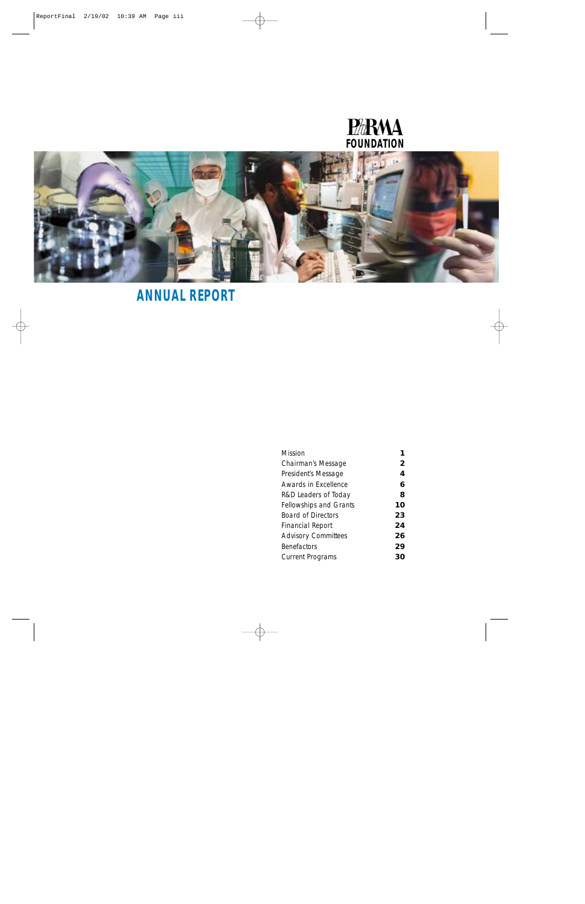

# **ANNUAL REPORT**

| Mission                       |    |
|-------------------------------|----|
| Chairman's Message            | 2  |
| President's Message           | 4  |
| Awards in Excellence          | 6  |
| R&D Leaders of Today          | 8  |
| <b>Fellowships and Grants</b> | 10 |
| <b>Board of Directors</b>     | 23 |
| Financial Report              | 24 |
| <b>Advisory Committees</b>    | 26 |
| <b>Benefactors</b>            | 29 |
| <b>Current Programs</b>       | 30 |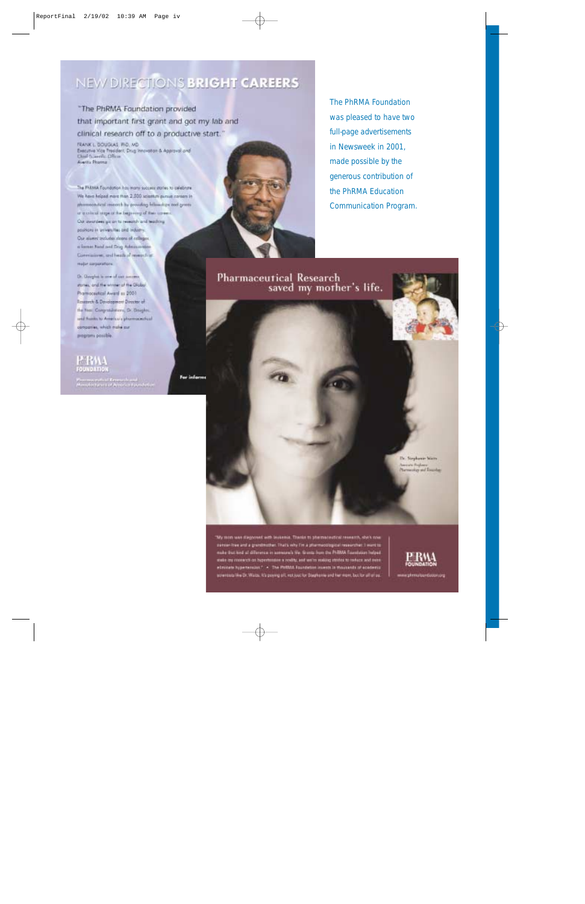# NEW DIRECTIONS BRIGHT CAREERS

For informs

"The PhRMA Foundation provided that important first grant and got my lab and clinical research off to a productive start."

FRANK L. DOUGLAS, PID., MD. Executive Vice Treedent, Drug Innovation & Approval and Aventu Phorma

The FFRMA Foundation has many success states to celebrate We have helped more than 2,500 scientist pursue coreon in phonocotical meets by positing bilimsters and green or is sile of steps of the beginning of their coree. Our aveuralees gas an to research and teaching positions in universities and industry. Our alumni includes sloons of colleges a forcer hard and Drag Ashrassovic Connuisse, and heids of research at major saquinitions

Dr. Geoglat is now of our annum stores, and the winner of the Olobal Promocential Avere in 2001 Research & Development Director of the first Computations, Dr. Doughts. seal funds to America's phonosophical consories, which make our programs possible.

# **MRAL FOUNDATIO**

Processing the UK energy from the state of the American Association of the American Association of the Association of the Association of the Association of the Association of the Association of the Association of the Assoc

*The PhRMA Foundation was pleased to have two full-page advertisements in* Newsweek *in 2001, made possible by the generous contribution of the PhRMA Education Communication Program.*

**Pharmaceutical Research** saved my mother's life.

> Dr. Sieghaver Stein America Regioner<br>Photosophy and Evening

'My mon was diagnosed with insteads. Therits to phermaneutical research, she's now painter-free and a grandmother. That's why fim a pharmacological researcher. I want to make that lind of difference in appeareds the Granta from the PhRMA funnitures helped stake any research on hypertensies a reality, and wo're realing states to refuce and a<br>elevicate hypertensies? - The PSRMA Foundation invests in thousands of acade screens the Dr. Wats, it's power off, not just for Stephanie and her more, but for all of as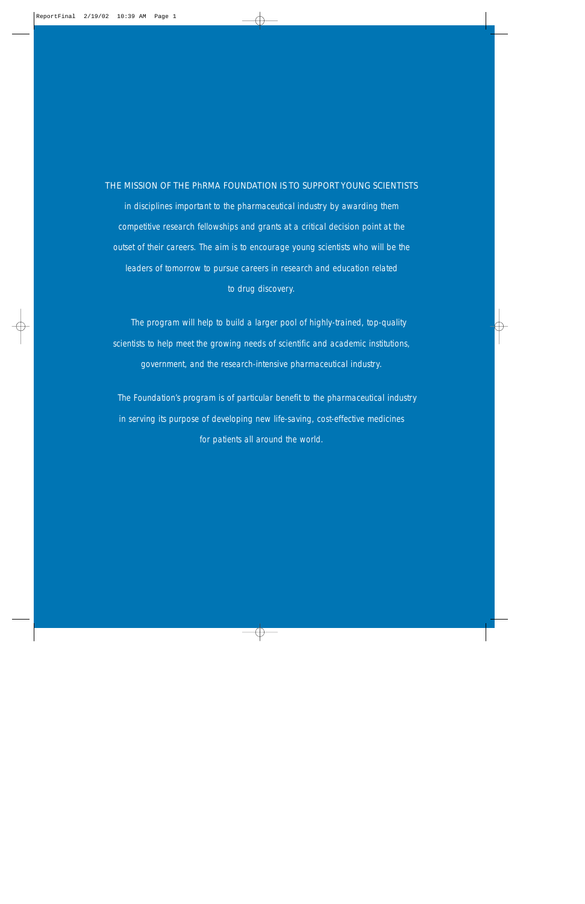# THE MISSION OF THE PhRMA FOUNDATION IS TO SUPPORT YOUNG SCIENTISTS

in disciplines important to the pharmaceutical industry by awarding them competitive research fellowships and grants at a critical decision point at the outset of their careers. The aim is to encourage young scientists who will be the leaders of tomorrow to pursue careers in research and education related to drug discovery.

The program will help to build a larger pool of highly-trained, top-quality scientists to help meet the growing needs of scientific and academic institutions, government, and the research-intensive pharmaceutical industry.

The Foundation's program is of particular benefit to the pharmaceutical industry in serving its purpose of developing new life-saving, cost-effective medicines for patients all around the world.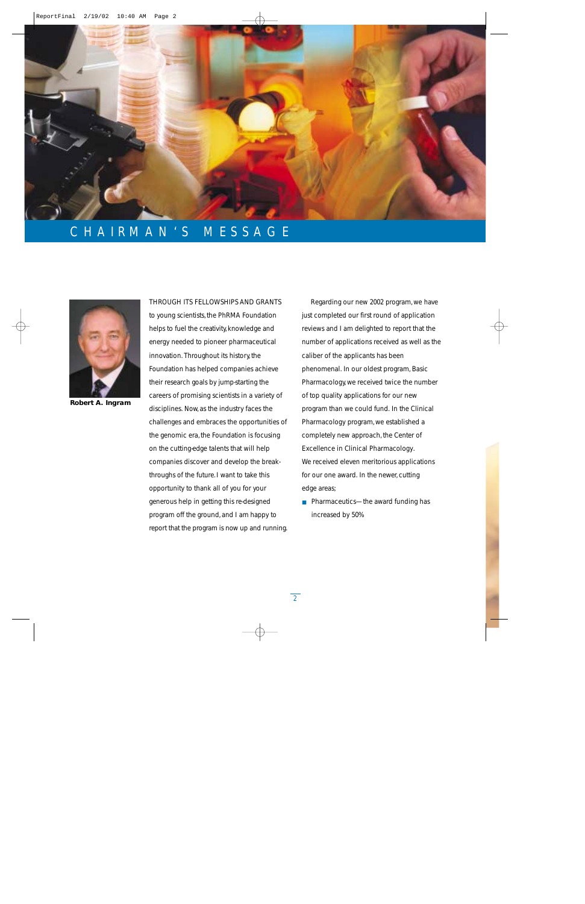

# CHAIRMAN'S MESSAGE



**Robert A. Ingram**

### THROUGH ITS FELLOWSHIPS AND GRANTS

to young scientists, the PhRMA Foundation helps to fuel the creativity, knowledge and energy needed to pioneer pharmaceutical innovation. Throughout its history, the Foundation has helped companies achieve their research goals by jump-starting the careers of promising scientists in a variety of disciplines. Now, as the industry faces the challenges and embraces the opportunities of the genomic era, the Foundation is focusing on the cutting-edge talents that will help companies discover and develop the breakthroughs of the future. I want to take this opportunity to thank all of you for your generous help in getting this re-designed program off the ground, and I am happy to report that the program is now up and running.

Regarding our new 2002 program, we have just completed our first round of application reviews and I am delighted to report that the number of applications received as well as the caliber of the applicants has been phenomenal. In our oldest program, Basic Pharmacology, we received twice the number of top quality applications for our new program than we could fund. In the Clinical Pharmacology program, we established a completely new approach, the Center of Excellence in Clinical Pharmacology. We received eleven meritorious applications for our one award. In the newer, cutting edge areas;

■ Pharmaceutics—the award funding has increased by 50%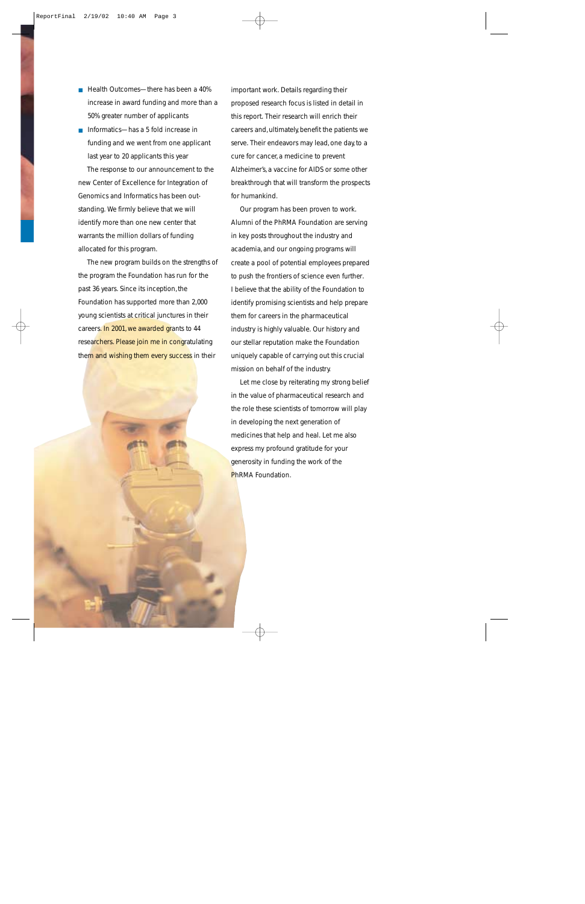- Health Outcomes—there has been a 40% increase in award funding and more than a 50% greater number of applicants
- Informatics—has a 5 fold increase in funding and we went from one applicant last year to 20 applicants this year

The response to our announcement to the new Center of Excellence for Integration of Genomics and Informatics has been outstanding. We firmly believe that we will identify more than one new center that warrants the million dollars of funding allocated for this program.

The new program builds on the strengths of the program the Foundation has run for the past 36 years. Since its inception, the Foundation has supported more than 2,000 young scientists at critical junctures in their careers. In 2001, we awarded grants to 44 researchers. Please join me in congratulating them and wishing them every success in their

important work. Details regarding their proposed research focus is listed in detail in this report. Their research will enrich their careers and, ultimately, benefit the patients we serve. Their endeavors may lead, one day, to a cure for cancer, a medicine to prevent Alzheimer's, a vaccine for AIDS or some other breakthrough that will transform the prospects for humankind.

Our program has been proven to work. Alumni of the PhRMA Foundation are serving in key posts throughout the industry and academia, and our ongoing programs will create a pool of potential employees prepared to push the frontiers of science even further. I believe that the ability of the Foundation to identify promising scientists and help prepare them for careers in the pharmaceutical industry is highly valuable. Our history and our stellar reputation make the Foundation uniquely capable of carrying out this crucial mission on behalf of the industry.

Let me close by reiterating my strong belief in the value of pharmaceutical research and the role these scientists of tomorrow will play in developing the next generation of medicines that help and heal. Let me also express my profound gratitude for your generosity in funding the work of the PhRMA Foundation.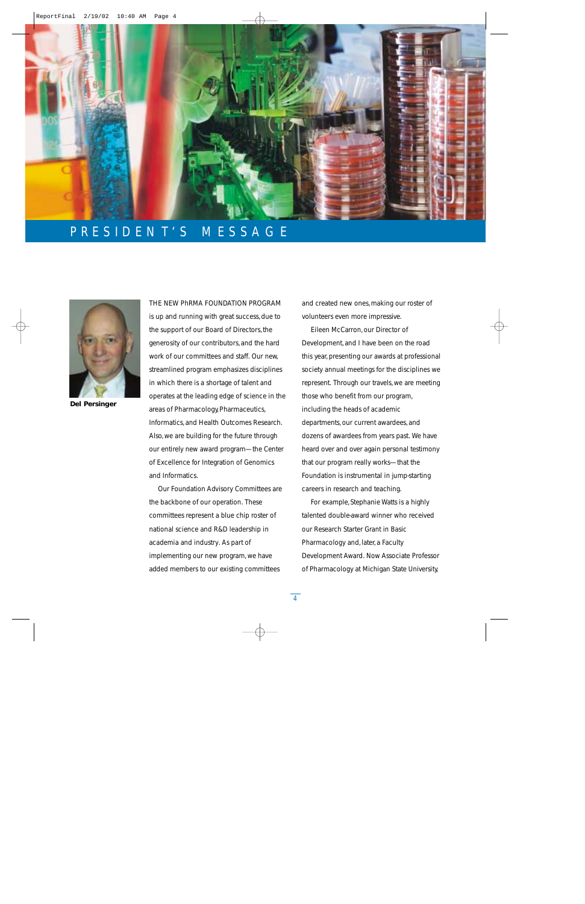

# PRESIDENT'S MESSAGE



**Del Persinger**

THE NEW PhRMA FOUNDATION PROGRAM is up and running with great success, due to the support of our Board of Directors, the generosity of our contributors, and the hard work of our committees and staff. Our new, streamlined program emphasizes disciplines in which there is a shortage of talent and operates at the leading edge of science in the areas of Pharmacology, Pharmaceutics, Informatics, and Health Outcomes Research. Also, we are building for the future through our entirely new award program—the Center of Excellence for Integration of Genomics and Informatics.

Our Foundation Advisory Committees are the backbone of our operation. These committees represent a blue chip roster of national science and R&D leadership in academia and industry. As part of implementing our new program, we have added members to our existing committees

and created new ones, making our roster of volunteers even more impressive.

Eileen McCarron, our Director of Development, and I have been on the road this year, presenting our awards at professional society annual meetings for the disciplines we represent. Through our travels, we are meeting those who benefit from our program, including the heads of academic departments, our current awardees, and dozens of awardees from years past. We have heard over and over again personal testimony that our program really works—that the Foundation is instrumental in jump-starting careers in research and teaching.

For example, Stephanie Watts is a highly talented double-award winner who received our Research Starter Grant in Basic Pharmacology and, later, a Faculty Development Award. Now Associate Professor of Pharmacology at Michigan State University,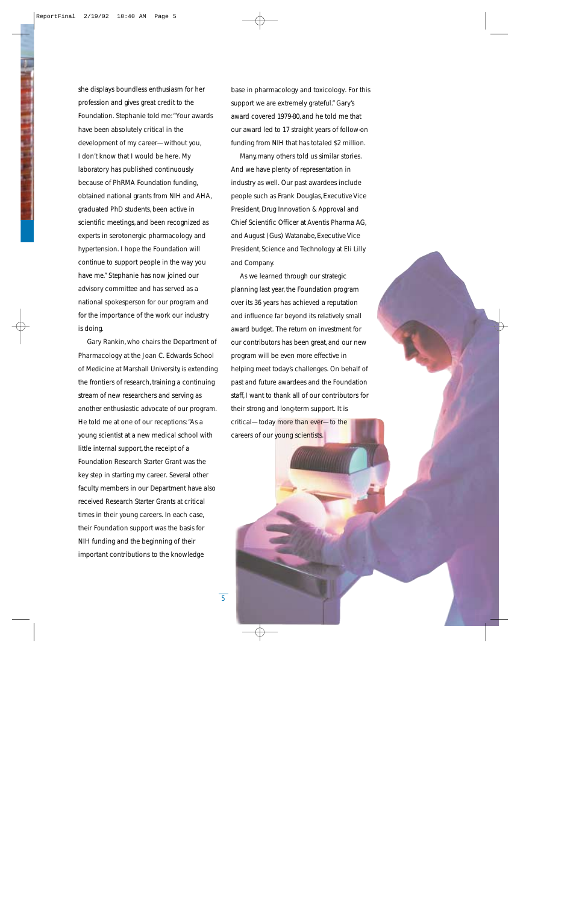she displays boundless enthusiasm for her profession and gives great credit to the Foundation. Stephanie told me:"Your awards have been absolutely critical in the development of my career—without you, I don't know that I would be here. My laboratory has published continuously because of PhRMA Foundation funding, obtained national grants from NIH and AHA, graduated PhD students, been active in scientific meetings, and been recognized as experts in serotonergic pharmacology and hypertension. I hope the Foundation will continue to support people in the way you have me." Stephanie has now joined our advisory committee and has served as a national spokesperson for our program and for the importance of the work our industry is doing.

Gary Rankin, who chairs the Department of Pharmacology at the Joan C. Edwards School of Medicine at Marshall University, is extending the frontiers of research, training a continuing stream of new researchers and serving as another enthusiastic advocate of our program. He told me at one of our receptions:"As a young scientist at a new medical school with little internal support, the receipt of a Foundation Research Starter Grant was the key step in starting my career. Several other faculty members in our Department have also received Research Starter Grants at critical times in their young careers. In each case, their Foundation support was the basis for NIH funding and the beginning of their important contributions to the knowledge

base in pharmacology and toxicology. For this support we are extremely grateful." Gary's award covered 1979-80, and he told me that our award led to 17 straight years of follow-on funding from NIH that has totaled \$2 million.

Many, many others told us similar stories. And we have plenty of representation in industry as well. Our past awardees include people such as Frank Douglas, Executive Vice President, Drug Innovation & Approval and Chief Scientific Officer at Aventis Pharma AG, and August (Gus) Watanabe, Executive Vice President, Science and Technology at Eli Lilly and Company.

As we learned through our strategic planning last year, the Foundation program over its 36 years has achieved a reputation and influence far beyond its relatively small award budget. The return on investment for our contributors has been great, and our new program will be even more effective in helping meet today's challenges. On behalf of past and future awardees and the Foundation staff, I want to thank all of our contributors for their strong and long-term support. It is critical—today more than ever—to the careers of our young scientists.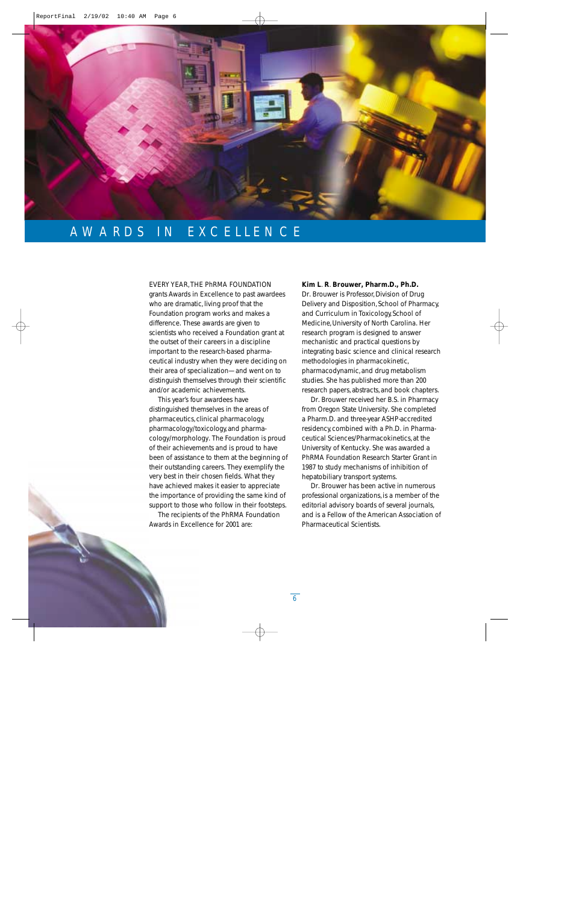

# AWARDS IN EXCELLENCE

# EVERY YEAR,THE PhRMA FOUNDATION

grants Awards in Excellence to past awardees who are dramatic, living proof that the Foundation program works and makes a difference. These awards are given to scientists who received a Foundation grant at the outset of their careers in a discipline important to the research-based pharmaceutical industry when they were deciding on their area of specialization—and went on to distinguish themselves through their scientific and/or academic achievements.

This year's four awardees have distinguished themselves in the areas of pharmaceutics, clinical pharmacology, pharmacology/toxicology, and pharmacology/morphology. The Foundation is proud of their achievements and is proud to have been of assistance to them at the beginning of their outstanding careers. They exemplify the very best in their chosen fields. What they have achieved makes it easier to appreciate the importance of providing the same kind of support to those who follow in their footsteps.

The recipients of the PhRMA Foundation Awards in Excellence for 2001 are:

# **Kim L**. **R**. **Brouwer, Pharm.D., Ph.D.**

Dr. Brouwer is Professor, Division of Drug Delivery and Disposition, School of Pharmacy, and Curriculum in Toxicology, School of Medicine, University of North Carolina. Her research program is designed to answer mechanistic and practical questions by integrating basic science and clinical research methodologies in pharmacokinetic, pharmacodynamic, and drug metabolism studies. She has published more than 200 research papers, abstracts, and book chapters.

Dr. Brouwer received her B.S. in Pharmacy from Oregon State University. She completed a Pharm.D. and three-year ASHP-accredited residency, combined with a Ph.D. in Pharmaceutical Sciences/Pharmacokinetics, at the University of Kentucky. She was awarded a PhRMA Foundation Research Starter Grant in 1987 to study mechanisms of inhibition of hepatobiliary transport systems.

Dr. Brouwer has been active in numerous professional organizations, is a member of the editorial advisory boards of several journals, and is a Fellow of the American Association of Pharmaceutical Scientists.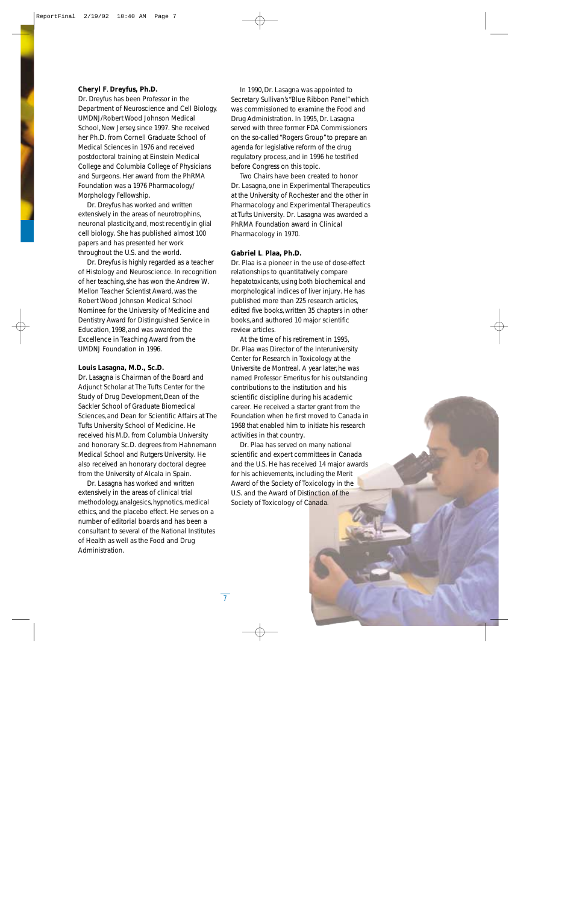# **Cheryl F**. **Dreyfus, Ph.D.**

Dr. Dreyfus has been Professor in the Department of Neuroscience and Cell Biology, UMDNJ/Robert Wood Johnson Medical School, New Jersey, since 1997. She received her Ph.D. from Cornell Graduate School of Medical Sciences in 1976 and received postdoctoral training at Einstein Medical College and Columbia College of Physicians and Surgeons. Her award from the PhRMA Foundation was a 1976 Pharmacology/ Morphology Fellowship.

Dr. Dreyfus has worked and written extensively in the areas of neurotrophins, neuronal plasticity, and, most recently, in glial cell biology. She has published almost 100 papers and has presented her work throughout the U.S. and the world.

Dr. Dreyfus is highly regarded as a teacher of Histology and Neuroscience. In recognition of her teaching, she has won the Andrew W. Mellon Teacher Scientist Award, was the Robert Wood Johnson Medical School Nominee for the University of Medicine and Dentistry Award for Distinguished Service in Education, 1998, and was awarded the Excellence in Teaching Award from the UMDNJ Foundation in 1996.

# **Louis Lasagna, M.D., Sc.D.**

Dr. Lasagna is Chairman of the Board and Adjunct Scholar at The Tufts Center for the Study of Drug Development, Dean of the Sackler School of Graduate Biomedical Sciences, and Dean for Scientific Affairs at The Tufts University School of Medicine. He received his M.D. from Columbia University and honorary Sc.D. degrees from Hahnemann Medical School and Rutgers University. He also received an honorary doctoral degree from the University of Alcala in Spain.

Dr. Lasagna has worked and written extensively in the areas of clinical trial methodology, analgesics, hypnotics, medical ethics, and the placebo effect. He serves on a number of editorial boards and has been a consultant to several of the National Institutes of Health as well as the Food and Drug Administration.

In 1990, Dr. Lasagna was appointed to Secretary Sullivan's "Blue Ribbon Panel"which was commissioned to examine the Food and Drug Administration. In 1995, Dr. Lasagna served with three former FDA Commissioners on the so-called "Rogers Group"to prepare an agenda for legislative reform of the drug regulatory process, and in 1996 he testified before Congress on this topic.

Two Chairs have been created to honor Dr. Lasagna, one in Experimental Therapeutics at the University of Rochester and the other in Pharmacology and Experimental Therapeutics at Tufts University. Dr. Lasagna was awarded a PhRMA Foundation award in Clinical Pharmacology in 1970.

### **Gabriel L**. **Plaa, Ph.D.**

Dr. Plaa is a pioneer in the use of dose-effect relationships to quantitatively compare hepatotoxicants, using both biochemical and morphological indices of liver injury. He has published more than 225 research articles, edited five books, written 35 chapters in other books, and authored 10 major scientific review articles.

At the time of his retirement in 1995, Dr. Plaa was Director of the Interuniversity Center for Research in Toxicology at the Universite de Montreal. A year later, he was named Professor Emeritus for his outstanding contributions to the institution and his scientific discipline during his academic career. He received a starter grant from the Foundation when he first moved to Canada in 1968 that enabled him to initiate his research activities in that country.

Dr. Plaa has served on many national scientific and expert committees in Canada and the U.S. He has received 14 major awards for his achievements, including the Merit Award of the Society of Toxicology in the U.S. and the Award of Distinction of the Society of Toxicology of Canada.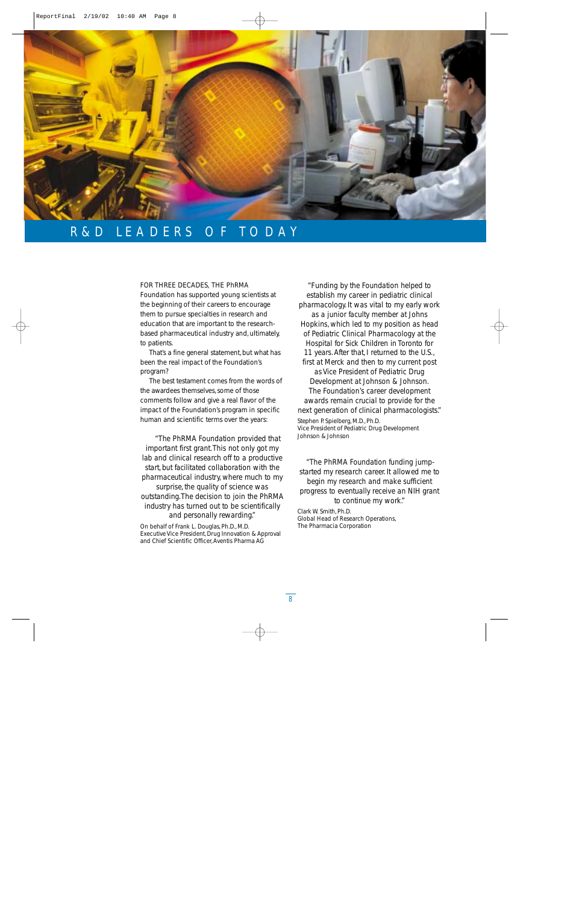

# R&D LEADERS OF TODAY

## FOR THREE DECADES, THE PhRMA

Foundation has supported young scientists at the beginning of their careers to encourage them to pursue specialties in research and education that are important to the researchbased pharmaceutical industry and, ultimately, to patients.

That's a fine general statement, but what has been the real impact of the Foundation's program?

The best testament comes from the words of the awardees themselves, some of those comments follow and give a real flavor of the impact of the Foundation's program in specific human and scientific terms over the years:

*"The PhRMA Foundation provided that important first grant.This not only got my lab and clinical research off to a productive start,but facilitated collaboration with the pharmaceutical industry,where much to my* surprise, the quality of science was *outstanding.The decision to join the PhRMA industry has turned out to be scientifically and personally rewarding."*

On behalf of Frank L. Douglas, Ph.D., M.D. Executive Vice President, Drug Innovation & Approval and Chief Scientific Officer,Aventis Pharma AG

*"Funding by the Foundation helped to establish my career in pediatric clinical pharmacology.It was vital to my early work as a junior faculty member at Johns Hopkins,which led to my position as head of Pediatric Clinical Pharmacology at the Hospital for Sick Children in Toronto for 11 years.After that,I returned to the U.S., first at Merck and then to my current post as Vice President of Pediatric Drug Development at Johnson & Johnson. The Foundation's career development awards remain crucial to provide for the next generation of clinical pharmacologists."* Stephen P. Spielberg, M.D., Ph.D.

Vice President of Pediatric Drug Development Johnson & Johnson

*"The PhRMA Foundation funding jumpstarted my research career.It allowed me to begin my research and make sufficient progress to eventually receive an NIH grant to continue my work."*

Clark W. Smith, Ph.D. Global Head of Research Operations, The Pharmacia Corporation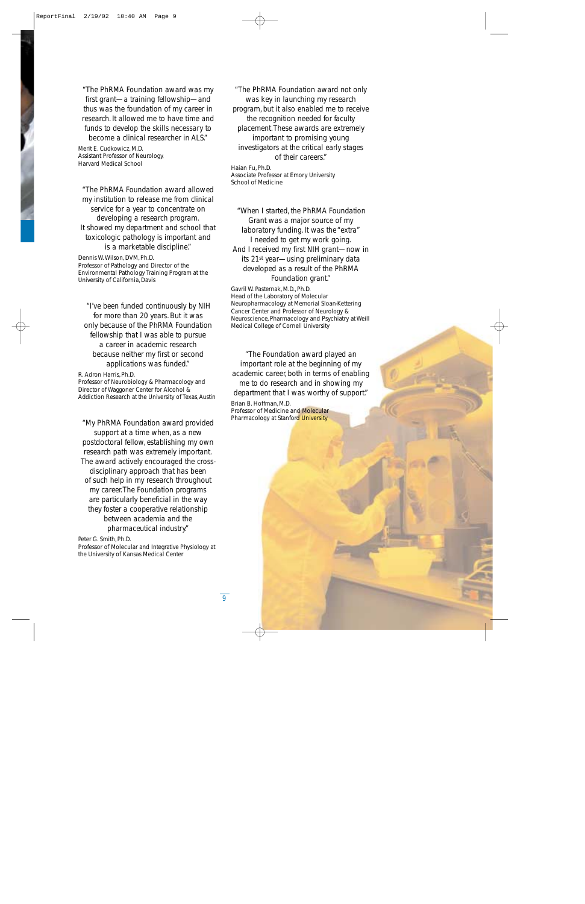*"The PhRMA Foundation award was my first grant—a training fellowship—and thus was the foundation of my career in research.It allowed me to have time and funds to develop the skills necessary to become a clinical researcher in ALS."*

Merit E. Cudkowicz, M.D. Assistant Professor of Neurology, Harvard Medical School

*"The PhRMA Foundation award allowed my institution to release me from clinical service for a year to concentrate on developing a research program. It showed my department and school that toxicologic pathology is important and is a marketable discipline."*

Dennis W. Wilson, DVM, Ph.D. Professor of Pathology and Director of the Environmental Pathology Training Program at the University of California, Davis

*"I've been funded continuously by NIH for more than 20 years.But it was only because of the PhRMA Foundation fellowship that I was able to pursue a career in academic research because neither my first or second applications was funded."*

R. Adron Harris, Ph.D. Professor of Neurobiology & Pharmacology and Director of Waggoner Center for Alcohol & Addiction Research at the University of Texas, Austin

*"My PhRMA Foundation award provided support at a time when,as a new postdoctoral fellow,establishing my own research path was extremely important. The award actively encouraged the crossdisciplinary approach that has been of such help in my research throughout my career.The Foundation programs are particularly beneficial in the way they foster a cooperative relationship between academia and the pharmaceutical industry."*

Peter G. Smith, Ph.D.

Professor of Molecular and Integrative Physiology at the University of Kansas Medical Center

*"The PhRMA Foundation award not only was key in launching my research program,but it also enabled me to receive the recognition needed for faculty placement.These awards are extremely important to promising young investigators at the critical early stages of their careers."*

Haian Fu, Ph.D. Associate Professor at Emory University School of Medicine

*"When I started, the PhRMA Foundation Grant was a major source of my laboratory funding.It was the "extra" I needed to get my work going. And I received my first NIH grant—now in its 21st year—using preliminary data developed as a result of the PhRMA Foundation grant."*

Gavril W. Pasternak, M.D., Ph.D. Head of the Laboratory of Molecular Neuropharmacology at Memorial Sloan-Kettering Cancer Center and Professor of Neurology & Neuroscience, Pharmacology and Psychiatry at Weill Medical College of Cornell University

*"The Foundation award played an important role at the beginning of my academic career,both in terms of enabling me to do research and in showing my department that I was worthy of support."*

Brian B. Hoffman, M.D. Professor of Medicine and Molecular Pharmacology at Stanford University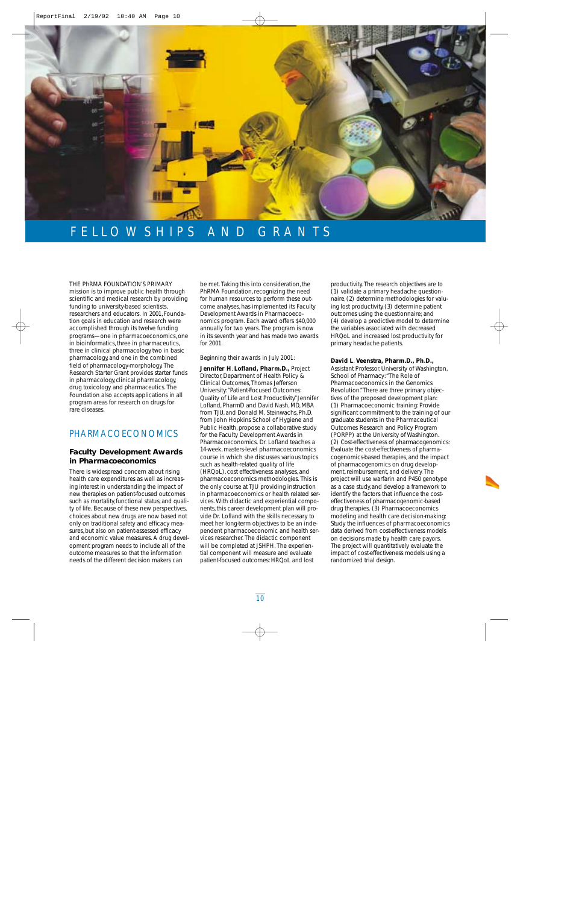

# FELLOWSHIPS AND GRANTS

THE PhRMA FOUNDATION'S PRIMARY mission is to improve public health through scientific and medical research by providing funding to university-based scientists, researchers and educators. In 2001, Foundation goals in education and research were accomplished through its twelve funding programs—one in pharmacoeconomics, one in bioinformatics, three in pharmaceutics, three in clinical pharmacology, two in basic pharmacology, and one in the combined field of pharmacology-morphology. The Research Starter Grant provides starter funds in pharmacology, clinical pharmacology, drug toxicology and pharmaceutics. The Foundation also accepts applications in all program areas for research on drugs for rare diseases.

# PHARMACOECONOMICS

# **Faculty Development Awards in Pharmacoeconomics**

There is widespread concern about rising health care expenditures as well as increasing interest in understanding the impact of new therapies on patient-focused outcomes such as mortality, functional status, and quality of life. Because of these new perspectives, choices about new drugs are now based not only on traditional safety and efficacy measures, but also on patient-assessed efficacy and economic value measures. A drug development program needs to include all of the outcome measures so that the information needs of the different decision makers can

be met. Taking this into consideration, the PhRMA Foundation, recognizing the need for human resources to perform these outcome analyses, has implemented its Faculty Development Awards in Pharmacoeconomics program. Each award offers \$40,000 annually for two years. The program is now in its seventh year and has made two awards for 2001.

### *Beginning their awards in July 2001:*

**Jennifer H**. **Lofland, Pharm.D.,** Project Director, Department of Health Policy & Clinical Outcomes,Thomas Jefferson University:"Patient-Focused Outcomes: Quality of Life and Lost Productivity."Jennifer Lofland, PharmD and David Nash, MD, MBA from TJU, and Donald M. Steinwachs, Ph.D. from John Hopkins School of Hygiene and Public Health, propose a collaborative study for the Faculty Development Awards in Pharmacoeconomics. Dr. Lofland teaches a 14-week, masters-level pharmacoeconomics course in which she discusses various topics such as health-related quality of life (HRQoL), cost effectiveness analyses, and pharmacoeconomics methodologies. This is the only course at TJU providing instruction in pharmacoeconomics or health related services. With didactic and experiential components, this career development plan will provide Dr. Lofland with the skills necessary to meet her long-term objectives to be an independent pharmacoeconomic and health services researcher. The didactic component will be completed at JSHPH. The experiential component will measure and evaluate patient-focused outcomes: HRQoL and lost

productivity. The research objectives are to (1) validate a primary headache questionnaire, (2) determine methodologies for valuing lost productivity, (3) determine patient outcomes using the questionnaire; and (4) develop a predictive model to determine the variables associated with decreased HRQoL and increased lost productivity for primary headache patients.

## **David L**. **Veenstra, Pharm.D., Ph.D.,**

Assistant Professor, University of Washington, School of Pharmacy:"The Role of Pharmacoeconomics in the Genomics Revolution."There are three primary objectives of the proposed development plan: (1) Pharmacoeconomic training: Provide significant commitment to the training of our graduate students in the Pharmaceutical Outcomes Research and Policy Program (PORPP) at the University of Washington. (2) Cost-effectiveness of pharmacogenomics: Evaluate the cost-effectiveness of pharmacogenomics-based therapies, and the impact of pharmacogenomics on drug development, reimbursement, and delivery. The project will use warfarin and P450 genotype as a case study, and develop a framework to identify the factors that influence the costeffectiveness of pharmacogenomic-based drug therapies. (3) Pharmacoeconomics modeling and health care decision-making: Study the influences of pharmacoeconomics data derived from cost-effectiveness models on decisions made by health care payors. The project will quantitatively evaluate the impact of cost-effectiveness models using a randomized trial design.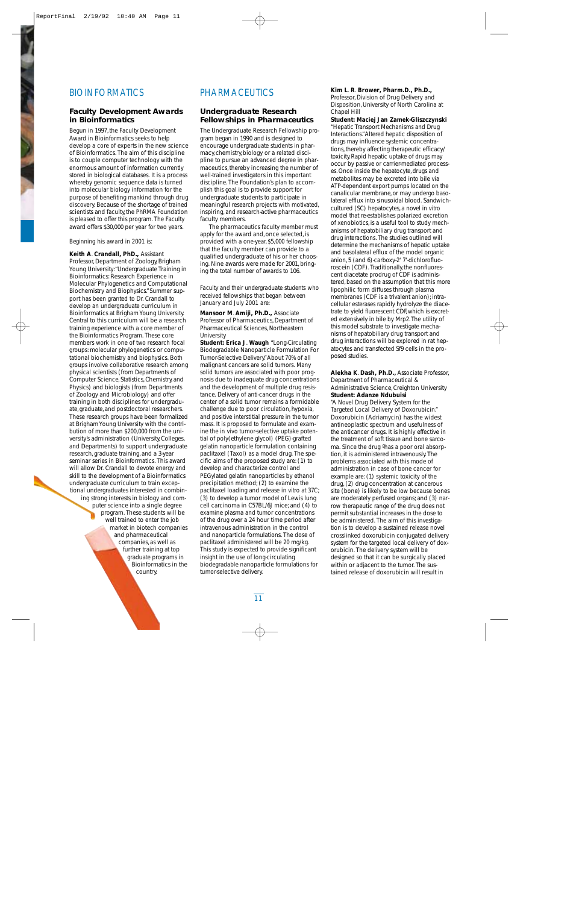# BIOINFORMATICS

# **Faculty Development Awards in Bioinformatics**

Begun in 1997, the Faculty Development Award in Bioinformatics seeks to help develop a core of experts in the new science of Bioinformatics. The aim of this discipline is to couple computer technology with the enormous amount of information currently stored in biological databases. It is a process whereby genomic sequence data is turned into molecular biology information for the purpose of benefiting mankind through drug discovery. Because of the shortage of trained scientists and faculty, the PhRMA Foundation is pleased to offer this program. The Faculty award offers \$30,000 per year for two years.

## *Beginning his award in 2001 is:*

**Keith A**. **Crandall, PhD.,** Assistant Professor, Department of Zoology, Brigham Young University:"Undergraduate Training in Bioinformatics: Research Experience in Molecular Phylogenetics and Computational Biochemistry and Biophysics."Summer support has been granted to Dr. Crandall to develop an undergraduate curriculum in Bioinformatics at Brigham Young University. Central to this curriculum will be a research training experience with a core member of the Bioinformatics Program. These core members work in one of two research focal groups: molecular phylogenetics or computational biochemistry and biophysics. Both groups involve collaborative research among physical scientists (from Departments of Computer Science, Statistics, Chemistry, and Physics) and biologists (from Departments of Zoology and Microbiology) and offer training in both disciplines for undergraduate, graduate, and postdoctoral researchers. These research groups have been formalized at Brigham Young University with the contribution of more than \$200,000 from the university's administration (University, Colleges, and Departments) to support undergraduate research, graduate training, and a 3-year seminar series in Bioinformatics. This award will allow Dr. Crandall to devote energy and skill to the development of a Bioinformatics undergraduate curriculum to train exceptional undergraduates interested in combining strong interests in biology and computer science into a single degree program. These students will be well trained to enter the job market in biotech companies and pharmaceutical companies, as well as further training at top graduate programs in Bioinformatics in the country.

# PHARMACEUTICS

# **Undergraduate Research Fellowships in Pharmaceutics**

The Undergraduate Research Fellowship program began in 1990 and is designed to encourage undergraduate students in pharmacy, chemistry, biology or a related discipline to pursue an advanced degree in pharmaceutics, thereby increasing the number of well-trained investigators in this important discipline. The Foundation's plan to accomplish this goal is to provide support for undergraduate students to participate in meaningful research projects with motivated, inspiring, and research-active pharmaceutics faculty members.

The pharmaceutics faculty member must apply for the award and, once selected, is provided with a one-year, \$5,000 fellowship that the faculty member can provide to a qualified undergraduate of his or her choosing. Nine awards were made for 2001, bringing the total number of awards to 106.

### *Faculty and their undergraduate students who received fellowships that began between January and July 2001 are:*

**Mansoor M**. **Amiji, Ph.D.,** Associate Professor of Pharmaceutics, Department of Pharmaceutical Sciences, Northeastern University

**Student: Erica J**. **Waugh** "Long-Circulating Biodegradable Nanoparticle Formulation For Tumor-Selective Delivery."About 70% of all malignant cancers are solid tumors. Many solid tumors are associated with poor prognosis due to inadequate drug concentrations and the development of multiple drug resistance. Delivery of anti-cancer drugs in the center of a solid tumor remains a formidable challenge due to poor circulation, hypoxia, and positive interstitial pressure in the tumor mass. It is proposed to formulate and examine the *in vivo* tumor-selective uptake potential of poly(ethylene glycol) (PEG)-grafted gelatin nanoparticle formulation containing paclitaxel (Taxol) as a model drug. The specific aims of the proposed study are: (1) to develop and characterize control and PEGylated gelatin nanoparticles by ethanol precipitation method; (2) to examine the paclitaxel loading and release *in vitro* at 37C; (3) to develop a tumor model of Lewis lung cell carcinoma in C57BL/6J mice; and (4) to examine plasma and tumor concentrations of the drug over a 24 hour time period after intravenous administration in the control and nanoparticle formulations. The dose of paclitaxel administered will be 20 mg/kg. This study is expected to provide significant insight in the use of long-circulating biodegradable nanoparticle formulations for tumor-selective delivery.

# **Kim L**. **R**. **Brower, Pharm.D., Ph.D.,**

Professor, Division of Drug Delivery and Disposition, University of North Carolina at Chapel Hill

**Student: Maciej Jan Zamek-Gliszczynski** "Hepatic Transport Mechanisms and Drug Interactions."Altered hepatic disposition of drugs may influence systemic concentrations, thereby affecting therapeutic efficacy/ toxicity.Rapid hepatic uptake of drugs may occur by passive or carrier-mediated processes.Once inside the hepatocyte,drugs and metabolites may be excreted into bile via ATP-dependent export pumps located on the canalicular membrane,or may undergo basolateral efflux into sinusoidal blood. Sandwichcultured (SC) hepatocytes,a novel *in vitro* model that re-establishes polarized excretion of xenobiotics,is a useful tool to study mechanisms of hepatobiliary drug transport and drug interactions. The studies outlined will determine the mechanisms of hepatic uptake and basolateral efflux of the model organic anion,5 (and 6)-carboxy-2' 7'-dichlorofluoroscein (CDF). Traditionally, the nonfluorescent diacetate prodrug of CDF is administered,based on the assumption that this more lipophilic form diffuses through plasma membranes (CDF is a trivalent anion); intracellular esterases rapidly hydrolyze the diacetrate to yield fluorescent CDF,which is excreted extensively in bile by Mrp2.The utility of this model substrate to investigate mechanisms of hepatobiliary drug transport and drug interactions will be explored in rat hepatocytes and transfected Sf9 cells in the proposed studies.

## **Alekha K**. **Dash, Ph.D.,** Associate Professor, Department of Pharmaceutical & Administrative Science, Creighton University **Student: Adanze Ndubuisi**

"A Novel Drug Delivery System for the Targeted Local Delivery of Doxorubicin." Doxorubicin (Adriamycin) has the widest antineoplastic spectrum and usefulness of the anticancer drugs. It is highly effective in the treatment of soft tissue and bone sarcoma. Since the drug ºhas a poor oral absorption, it is administered intravenously. The problems associated with this mode of administration in case of bone cancer for example are: (1) systemic toxicity of the drug, (2) drug concentration at cancerous site (bone) is likely to be low because bones are moderately perfused organs; and (3) narrow therapeutic range of the drug does not permit substantial increases in the dose to be administered. The aim of this investigation is to develop a sustained release novel crosslinked doxorubicin conjugated delivery system for the targeted local delivery of doxorubicin. The delivery system will be designed so that it can be surgically placed within or adjacent to the tumor. The sustained release of doxorubicin will result in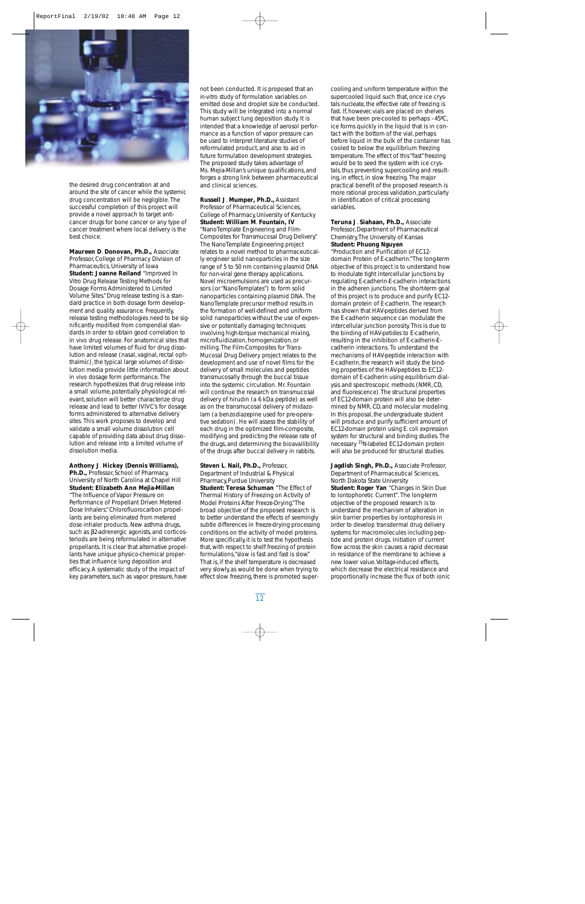

the desired drug concentration at and around the site of cancer while the systemic drug concentration will be negligible. The successful completion of this project will provide a novel approach to target anticancer drugs for bone cancer or any type of cancer treatment where local delivery is the best choice.

**Maureen D**. **Donovan, Ph.D.,** Associate Professor, College of Pharmacy Division of Pharmaceutics, University of Iowa **Student: Joanne Reiland** "Improved *In Vitro* Drug Release Testing Methods for Dosage Forms Administered to Limited Volume Sites."Drug release testing is a standard practice in both dosage form development and quality assurance. Frequently, release testing methodologies need to be significantly modified from compendial standards in order to obtain good correlation to *in vivo* drug release. For anatomical sites that have limited volumes of fluid for drug dissolution and release (nasal, vaginal, rectal ophthalmic), the typical large volumes of dissolution media provide little information about *in vivo* dosage form performance. The research hypothesizes that drug release into a small volume, potentially physiological relevant, solution will better characterize drug release and lead to better IVIVC's for dosage forms administered to alternative delivery sites. This work proposes to develop and validate a small volume dissolution cell capable of providing data about drug dissolution and release into a limited volume of dissolution media.

### **Anthony J**. **Hickey (Dennis Williams),**

**Ph.D.,** Professor, School of Pharmacy, University of North Carolina at Chapel Hill **Student: Elizabeth Ann Mejia-Millan** "The Influence of Vapor Pressure on Performance of Propellant Driven Metered Dose Inhalers."Chlorofluorocarbon propellants are being eliminated from metered dose inhaler products. New asthma drugs, such as β2-adrenergic agonists, and corticosteriods are being reformulated in alternative propellants. It is clear that alternative propellants have unique physico-chemical properties that influence lung deposition and efficacy. A systematic study of the impact of key parameters, such as vapor pressure, have not been conducted. It is proposed that an *in-vitro* study of formulation variables on emitted dose and droplet size be conducted. This study will be integrated into a normal human subject lung deposition study. It is intended that a knowledge of aerosol performance as a function of vapor pressure can be used to interpret literature studies of reformulated product, and also to aid in future formulation development strategies. The proposed study takes advantage of Ms. Mejia-Millan's unique qualifications, and forges a strong link between pharmaceutical and clinical sciences.

**Russell J**. **Mumper, Ph.D.,** Assistant Professor of Pharmaceutical Sciences, College of Pharmacy, University of Kentucky **Student: William M**. **Fountain, IV** "NanoTemplate Engineering and Film-Composites for Transmucosal Drug Delivery." The NanoTemplate Engineering project relates to a novel method to pharmaceutically engineer solid nanoparticles in the size range of 5 to 50 nm containing plasmid DNA for non-viral gene therapy applications. Novel microemulsions are used as precursors (or "NanoTemplates") to form solid nanoparticles containing plasmid DNA. The NanoTemplate precursor method results in the formation of well-defined and uniform solid nanoparticles without the use of expensive or potentially damaging techniques involving high-torque mechanical mixing, microfluidization, homogenization, or milling. The Film-Composites for Trans-Mucosal Drug Delivery project relates to the development and use of novel films for the delivery of small molecules and peptides transmucosally through the buccal tissue into the systemic circulation. Mr. Fountain will continue the research on transmucosal delivery of hirudin (a 6 kDa peptide) as well as on the transmucosal delivery of midazolam (a benzodiazepine used for pre-operative sedation). He will assess the stability of each drug in the optimized film-composite, modifying and predicting the release rate of the drugs, and determining the bioavailibility of the drugs after buccal delivery in rabbits.

**Steven L**. **Nail, Ph.D.,** Professor, Department of Industrial & Physical Pharmacy, Purdue University **Student: Teresa Schuman** "The Effect of Thermal History of Freezing on Activity of Model Proteins After Freeze-Drying."The broad objective of the proposed research is to better understand the effects of seemingly subtle differences in freeze-drying processing conditions on the activity of model proteins. More specifically, it is to test the hypothesis that, with respect to shelf freezing of protein formulations,"slow is fast and fast is slow." That is, if the shelf temperature is decreased very slowly, as would be done when trying to effect slow freezing, there is promoted supercooling and uniform temperature within the supercooled liquid such that, once ice crystals nucleate, the effective rate of freezing is fast. If, however, vials are placed on shelves that have been pre-cooled to perhaps –45ºC, ice forms quickly in the liquid that is in contact with the bottom of the vial, perhaps before liquid in the bulk of the container has cooled to below the equilibrium freezing temperature. The effect of this "fast"freezing would be to seed the system with ice crystals, thus preventing supercooling and resulting, in effect, in slow freezing. The major practical benefit of the proposed research is more rational process validation, particularly in identification of critical processing variables.

### **Teruna J**. **Siahaan, Ph.D.,** Associate Professor, Department of Pharmaceutical Chemistry,The University of Kansas **Student: Phuong Nguyen**

"Production and Purification of EC12 domain Protein of E-cadherin."The long-term objective of this project is to understand how to modulate tight intercellular junctions by regulating E-cadherin-E-cadherin interactions in the adheren junctions. The short-term goal of this project is to produce and purify EC12 domain protein of E-cadherin. The research has shown that HAV-peptides derived from the E-cadherin sequence can modulate the intercellular junction porosity. This is due to the binding of HAV-petides to E-cadherin, resulting in the inhibition of E-cadherin-Ecadherin interactions. To understand the mechanisms of HAV-peptide interaction with E-cadherin, the research will study the binding properties of the HAV-peptides to EC12 domain of E-cadherin using equilibrium dialysis and spectroscopic methods (NMR,CD, and fluorescence).The structural properties of EC12-domain protein will also be determined by NMR, CD, and molecular modeling. In this proposal, the undergraduate student will produce and purify sufficient amount of EC12-domain protein using *E.coli* expression system for structural and binding studies.The necessary 15N-labeled EC12-domain protein will also be produced for structural studies.

**Jagdish Singh, Ph.D.,** Associate Professor, Department of Pharmaceutical Sciences, North Dakota State University **Student: Roger Yan** "Changes in Skin Due to Iontophoretic Current". The long-term objective of the proposed research is to understand the mechanism of alteration in skin barrier properties by iontophoresis in order to develop transdermal drug delivery systems for macromolecules including peptide and protein drugs. Initiation of current flow across the skin causes a rapid decrease in resistance of the membrane to achieve a new lower value.Voltage-induced effects, which decrease the electrical resistance and proportionally increase the flux of both ionic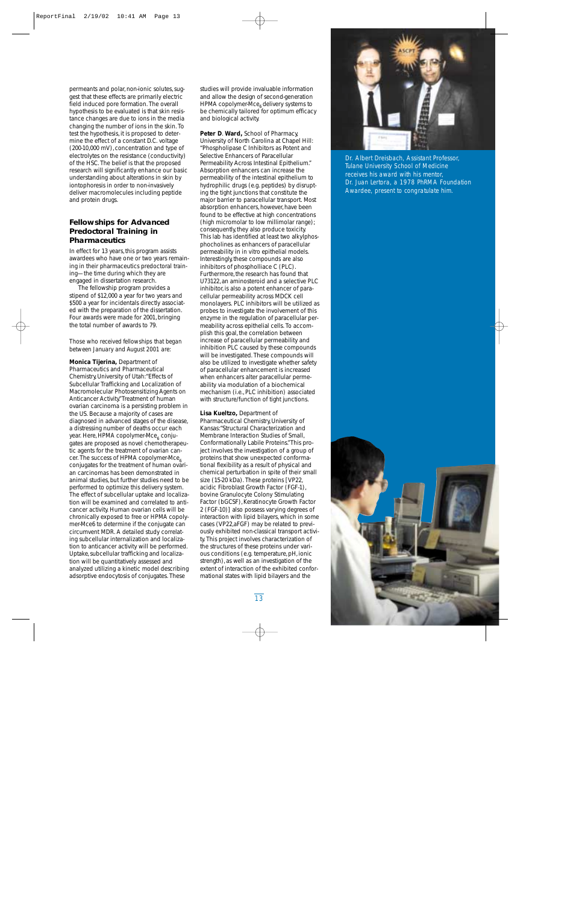permeants and polar, non-ionic solutes, suggest that these effects are primarily electric field induced pore formation. The overall hypothesis to be evaluated is that skin resistance changes are due to ions in the media changing the number of ions in the skin. To test the hypothesis, it is proposed to determine the effect of a constant D.C. voltage (200-10,000 mV), concentration and type of electrolytes on the resistance (conductivity) of the HSC. The belief is that the proposed research will significantly enhance our basic understanding about alterations in skin by iontophoresis in order to non-invasively deliver macromolecules including peptide and protein drugs.

# **Fellowships for Advanced Predoctoral Training in Pharmaceutics**

In effect for 13 years, this program assists awardees who have one or two years remaining in their pharmaceutics predoctoral training—the time during which they are engaged in dissertation research.

The fellowship program provides a stipend of \$12,000 a year for two years and \$500 a year for incidentals directly associated with the preparation of the dissertation. Four awards were made for 2001, bringing the total number of awards to 79.

## *Those who received fellowships that began between January and August 2001 are:*

**Monica Tijerina,** Department of Pharmaceutics and Pharmaceutical Chemistry, University of Utah:"Effects of Subcellular Trafficking and Localization of Macromolecular Photosensitizing Agents on Anticancer Activity."Treatment of human ovarian carcinoma is a persisting problem in the US. Because a majority of cases are diagnosed in advanced stages of the disease, a distressing number of deaths occur each year. Here, HPMA copolymer-Mce $_6$  conjugates are proposed as novel chemotherapeutic agents for the treatment of ovarian cancer. The success of HPMA copolymer-Mce<sub>6</sub> conjugates for the treatment of human ovarian carcinomas has been demonstrated in animal studies, but further studies need to be performed to optimize this delivery system. The effect of subcellular uptake and localization will be examined and correlated to anticancer activity. Human ovarian cells will be chronically exposed to free or HPMA copolymer-Mce6 to determine if the conjugate can circumvent MDR. A detailed study correlating subcellular internalization and localization to anticancer activity will be performed. Uptake, subcellular trafficking and localization will be quantitatively assessed and analyzed utilizing a kinetic model describing adsorptive endocytosis of conjugates. These

studies will provide invaluable information and allow the design of second-generation HPMA copolymer-Mce<sub>6</sub> delivery systems to be chemically tailored for optimum efficacy and biological activity.

**Peter D**. **Ward,** School of Pharmacy, University of North Carolina at Chapel Hill: "Phospholipase C Inhibitors as Potent and Selective Enhancers of Paracellular Permeability Across Intestinal Epithelium." Absorption enhancers can increase the permeability of the intestinal epithelium to hydrophilic drugs (e.g. peptides) by disrupting the tight junctions that constitute the major barrier to paracellular transport. Most absorption enhancers, however, have been found to be effective at high concentrations (high micromolar to low millimolar range); consequently, they also produce toxicity. This lab has identified at least two alkylphosphocholines as enhancers of paracellular permeability in *in vitro* epithelial models. Interestingly, these compounds are also inhibitors of phospholliace C (PLC). Furthermore, the research has found that U73122, an aminosteroid and a selective PLC inhibitor, is also a potent enhancer of paracellular permeability across MDCK cell monolayers. PLC inhibitors will be utilized as probes to investigate the involvement of this enzyme in the regulation of paracellular permeability across epithelial cells. To accomplish this goal, the correlation between increase of paracellular permeability and inhibition PLC caused by these compounds will be investigated. These compounds will also be utilized to investigate whether safety of paracellular enhancement is increased when enhancers alter paracellular permeability via modulation of a biochemical mechanism (i.e., PLC inhibition) associated with structure/function of tight junctions.

**Lisa Kueltzo,** Department of Pharmaceutical Chemistry, University of Kansas:"Structural Characterization and Membrane Interaction Studies of Small, Conformationally Labile Proteins."This project involves the investigation of a group of proteins that show unexpected conformational flexibility as a result of physical and chemical perturbation in spite of their small size (15-20 kDa). These proteins [VP22, acidic Fibroblast Growth Factor (FGF-1), bovine Granulocyte Colony Stimulating Factor (bGCSF), Keratinocyte Growth Factor 2 (FGF-10)] also possess varying degrees of interaction with lipid bilayers, which in some cases (VP22,aFGF) may be related to previously exhibited non-classical transport activity. This project involves characterization of the structures of these proteins under various conditions (e.g. temperature, pH, ionic strength), as well as an investigation of the extent of interaction of the exhibited conformational states with lipid bilayers and the



*Dr. Albert Dreisbach, Assistant Professor, Tulane University School of Medicine receives his award with his mentor, Dr. Juan Lertora, a 1978 PhRMA Foundation Awardee, present to congratulate him.*

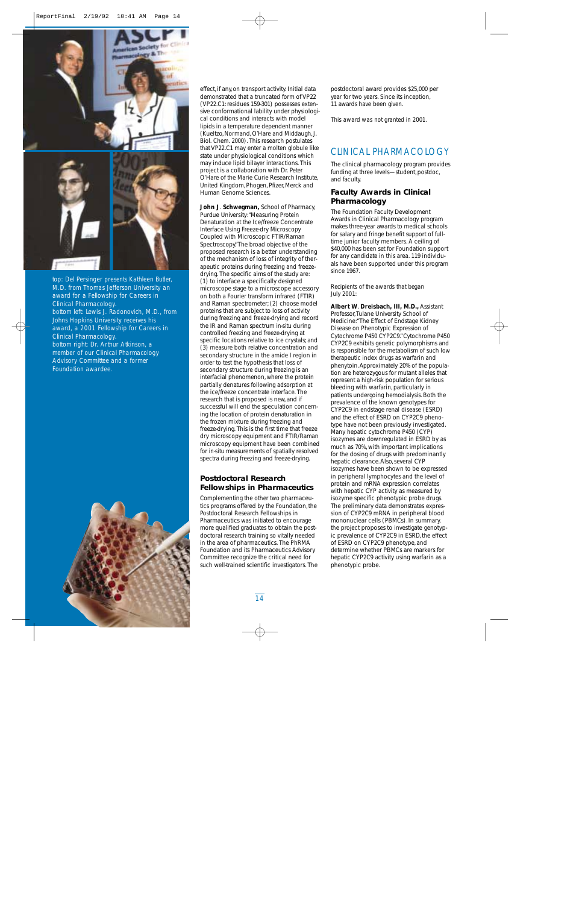

top: *Del Persinger presents Kathleen Butler, M.D. from Thomas Jefferson University an award for a Fellowship for Careers in Clinical Pharmacology.* bottom left: *Lewis J. Radonovich, M.D., from Johns Hopkins University receives his award, a 2001 Fellowship for Careers in Clinical Pharmacology.*  bottom right: *Dr. Arthur Atkinson, a member of our Clinical Pharmacology Advisory Committee and a former Foundation awardee.*



effect, if any, on transport activity. Initial data demonstrated that a truncated form of VP22 (VP22.C1: residues 159-301) possesses extensive conformational lability under physiological conditions and interacts with model lipids in a temperature dependent manner (Kueltzo, Normand, O'Hare and Middaugh,*J. Biol. Chem.* 2000). This research postulates that VP22.C1 may enter a molten globule like state under physiological conditions which may induce lipid bilayer interactions. This project is a collaboration with Dr. Peter O'Hare of the Marie Curie Research Institute, United Kingdom, Phogen, Pfizer, Merck and Human Genome Sciences.

**John J**. **Schwegman,** School of Pharmacy, Purdue University:"Measuring Protein Denaturation at the Ice/freeze Concentrate Interface Using Freeze-dry Microscopy Coupled with Microscopic FTIR/Raman Spectroscopy."The broad objective of the proposed research is a better understanding of the mechanism of loss of integrity of therapeutic proteins during freezing and freezedrying. The specific aims of the study are: (1) to interface a specifically designed microscope stage to a microscope accessory on both a Fourier transform infrared (FTIR) and Raman spectrometer; (2) choose model proteins that are subject to loss of activity during freezing and freeze-drying and record the IR and Raman spectrum *in-situ* during controlled freezing and freeze-drying at specific locations relative to ice crystals; and (3) measure both relative concentration and secondary structure in the amide I region in order to test the hypothesis that loss of secondary structure during freezing is an interfacial phenomenon, where the protein partially denatures following adsorption at the ice/freeze concentrate interface. The research that is proposed is new, and if successful will end the speculation concerning the location of protein denaturation in the frozen mixture during freezing and freeze-drying. This is the first time that freeze dry microscopy equipment and FTIR/Raman microscopy equipment have been combined for *in-situ* measurements of spatially resolved spectra during freezing and freeze-drying.

# **Postdoctoral Research Fellowships in Pharmaceutics**

Complementing the other two pharmaceutics programs offered by the Foundation, the Postdoctoral Research Fellowships in Pharmaceutics was initiated to encourage more qualified graduates to obtain the postdoctoral research training so vitally needed in the area of pharmaceutics. The PhRMA Foundation and its Pharmaceutics Advisory Committee recognize the critical need for such well-trained scientific investigators. The postdoctoral award provides \$25,000 per year for two years. Since its inception, 11 awards have been given.

*This award was not granted in 2001.*

# CLINICAL PHARMACOLOGY

The clinical pharmacology program provides funding at three levels—student, postdoc, and faculty.

# **Faculty Awards in Clinical Pharmacology**

The Foundation Faculty Development Awards in Clinical Pharmacology program makes three-year awards to medical schools for salary and fringe benefit support of fulltime junior faculty members. A ceiling of \$40,000 has been set for Foundation support for any candidate in this area. 119 individuals have been supported under this program since 1967.

### *Recipients of the awards that began July 2001:*

**Albert W**. **Dreisbach, III, M.D.,** Assistant Professor,Tulane University School of Medicine:"The Effect of Endstage Kidney Disease on Phenotypic Expression of Cytochrome P450 CYP2C9."Cytochrome P450 CYP2C9 exhibits genetic polymorphisms and is responsible for the metabolism of such low therapeutic index drugs as warfarin and phenytoin.Approximately 20% of the population are heterozygous for mutant alleles that represent a high-risk population for serious bleeding with warfarin, particularly in patients undergoing hemodialysis. Both the prevalence of the known genotypes for CYP2C9 in endstage renal disease (ESRD) and the effect of ESRD on CYP2C9 phenotype have not been previously investigated. Many hepatic cytochrome P450 (CYP) isozymes are downregulated in ESRD by as much as 70%, with important implications for the dosing of drugs with predominantly hepatic clearance.Also, several CYP isozymes have been shown to be expressed in peripheral lymphocytes and the level of protein and mRNA expression correlates with hepatic CYP activity as measured by isozyme specific phenotypic probe drugs. The preliminary data demonstrates expression of CYP2C9 mRNA in peripheral blood mononuclear cells (PBMCs). In summary, the project proposes to investigate genotypic prevalence of CYP2C9 in ESRD, the effect of ESRD on CYP2C9 phenotype, and determine whether PBMCs are markers for hepatic CYP2C9 activity using warfarin as a phenotypic probe.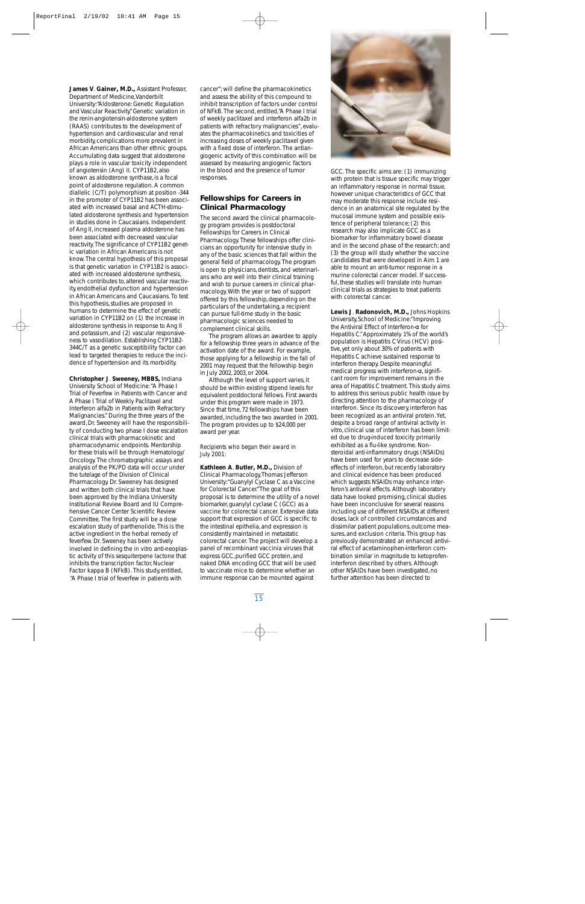**James V**. **Gainer, M.D.,** Assistant Professor, Department of Medicine,Vanderbilt University:"Aldosterone: Genetic Regulation and Vascular Reactivity."Genetic variation in the renin-angiotensin-aldosterone system (RAAS) contributes to the development of hypertension and cardiovascular and renal morbidity, complications more prevalent in African Americans than other ethnic groups. Accumulating data suggest that aldosterone plays a role in vascular toxicity independent of angiotensin (Ang) II. CYP11B2, also known as aldosterone synthase, is a focal point of aldosterone regulation. A common diallelic (C/T) polymorphism at position -344 in the promoter of CYP11B2 has been associated with increased basal and ACTH-stimulated aldosterone synthesis and hypertension in studies done in Caucasians. Independent of Ang II, increased plasma aldosterone has been associated with decreased vascular reactivity. The significance of CYP11B2 genetic variation in African Americans is not know. The central hypothesis of this proposal is that genetic variation in CYP11B2 is associated with increased aldosterone synthesis, which contributes to, altered vascular reactivity, endothelial dysfunction and hypertension in African Americans and Caucasians. To test this hypothesis, studies are proposed in humans to determine the effect of genetic variation in CYP11B2 on (1) the increase in aldosterone synthesis in response to Ang II and potassium, and (2) vascular responsiveness to vasodilation. Establishing CYP11B2- 344C/T as a genetic susceptibility factor can lead to targeted therapies to reduce the incidence of hypertension and its morbidity.

**Christopher J**. **Sweeney, MBBS,** Indiana University School of Medicine:"A Phase I Trial of Feverfew in Patients with Cancer and A Phase I Trial of Weekly Paclitaxel and Interferon alfa2b in Patients with Refractory Malignancies." During the three years of the award, Dr. Sweeney will have the responsibility of conducting two phase I dose escalation clinical trials with pharmacokinetic and pharmacodynamic endpoints. Mentorship for these trials will be through Hematology/ Oncology. The chromatographic assays and analysis of the PK/PD data will occur under the tutelage of the Division of Clinical Pharmacology. Dr. Sweeney has designed and written both clinical trials that have been approved by the Indiana University Institutional Review Board and IU Comprehensive Cancer Center Scientific Review Committee. The first study will be a dose escalation study of parthenolide. This is the active ingredient in the herbal remedy of feverfew. Dr. Sweeney has been actively involved in defining the *in vitro* anti-neoplastic activity of this sesquiterpene lactone that inhibits the transcription factor, Nuclear Factor kappa B (NFkB). This study, entitled, "A Phase I trial of feverfew in patients with

cancer"; will define the pharmacokinetics and assess the ability of this compound to inhibit transcription of factors under control of NFkB. The second, entitled,"A Phase I trial of weekly paclitaxel and interferon alfa2b in patients with refractory malignancies", evaluates the pharmacokinetics and toxicities of increasing doses of weekly paclitaxel given with a fixed dose of interferon. The antiangiogenic activity of this combination will be assessed by measuring angiogenic factors in the blood and the presence of tumor responses.

# **Fellowships for Careers in Clinical Pharmacology**

The second award the clinical pharmacology program provides is postdoctoral Fellowships for Careers in Clinical Pharmacology. These fellowships offer clinicians an opportunity for intensive study in any of the basic sciences that fall within the general field of pharmacology. The program is open to physicians, dentists, and veterinarians who are well into their clinical training and wish to pursue careers in clinical pharmacology. With the year or two of support offered by this fellowship, depending on the particulars of the undertaking, a recipient can pursue full-time study in the basic pharmacologic sciences needed to complement clinical skills.

The program allows an awardee to apply for a fellowship three years in advance of the activation date of the award. For example, those applying for a fellowship in the fall of 2001 may request that the fellowship begin in July 2002, 2003, or 2004.

Although the level of support varies, it should be within existing stipend levels for equivalent postdoctoral fellows. First awards under this program were made in 1973. Since that time, 72 fellowships have been awarded, including the two awarded in 2001. The program provides up to \$24,000 per award per year.

### *Recipients who began their award in July 2001:*

**Kathleen A**. **Butler, M.D.,** Division of Clinical Pharmacology,Thomas Jefferson University:"Guanylyl Cyclase C as a Vaccine for Colorectal Cancer."The goal of this proposal is to determine the utility of a novel biomarker, guanylyl cyclase C (GCC) as a vaccine for colorectal cancer. Extensive data support that expression of GCC is specific to the intestinal epithelia, and expression is consistently maintained in metastatic colorectal cancer. The project will develop a panel of recombinant vaccinia viruses that express GCC, purified GCC protein, and naked DNA encoding GCC that will be used to vaccinate mice to determine whether an immune response can be mounted against



GCC. The specific aims are: (1) immunizing with protein that is tissue specific may trigger an inflammatory response in normal tissue, however unique characteristics of GCC that may moderate this response include residence in an anatomical site regulated by the mucosal immune system and possible existence of peripheral tolerance; (2) this research may also implicate GCC as a biomarker for inflammatory bowel disease and in the second phase of the research; and (3) the group will study whether the vaccine candidates that were developed in Aim 1 are able to mount an anti-tumor response in a murine colorectal cancer model. If successful, these studies will translate into human clinical trials as strategies to treat patients with colorectal cancer.

**Lewis J**. **Radonovich, M.D.,** Johns Hopkins University, School of Medicine:"Improving the Antiviral Effect of Interferon-α for Hepatitis C."Approximately 1% of the world's population is Hepatitis C Virus (HCV) positive, yet only about 30% of patients with Hepatitis C achieve sustained response to interferon therapy. Despite meaningful medical progress with interferon-α, significant room for improvement remains in the area of Hepatitis C treatment. This study aims to address this serious public health issue by directing attention to the pharmacology of interferon. Since its discovery, interferon has been recognized as an antiviral protein. Yet, despite a broad range of antiviral activity *in vitro,* clinical use of interferon has been limited due to drug-induced toxicity primarily exhibited as a flu-like syndrome. Nonsteroidal anti-inflammatory drugs (NSAIDs) have been used for years to decrease sideeffects of interferon, but recently laboratory and clinical evidence has been produced which suggests NSAIDs may enhance interferon's antiviral effects. Although laboratory data have looked promising, clinical studies have been inconclusive for several reasons including use of different NSAIDs at different doses, lack of controlled circumstances and dissimilar patient populations, outcome measures, and exclusion criteria. This group has previously demonstrated an enhanced antiviral effect of acetaminophen-interferon combination similar in magnitude to ketoprofeninterferon described by others. Although other NSAIDs have been investigated, no further attention has been directed to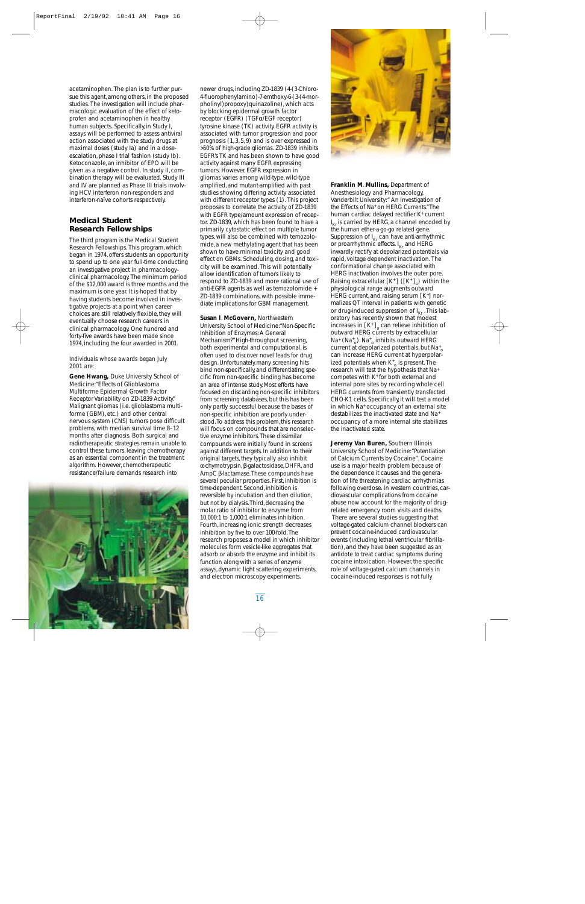acetaminophen. The plan is to further pursue this agent, among others, in the proposed studies. The investigation will include pharmacologic evaluation of the effect of ketoprofen and acetaminophen in healthy human subjects. Specifically, in Study I, assays will be performed to assess antiviral action associated with the study drugs at maximal doses (study Ia) and in a doseescalation, phase I trial fashion (study Ib). Ketoconazole, an inhibitor of EPO will be given as a negative control. In study II, combination therapy will be evaluated. Study III and IV are planned as Phase III trials involving HCV interferon non-responders and interferon-naïve cohorts respectively.

# **Medical Student Research Fellowships**

The third program is the Medical Student Research Fellowships. This program, which began in 1974, offers students an opportunity to spend up to one year full-time conducting an investigative project in pharmacologyclinical pharmacology. The minimum period of the \$12,000 award is three months and the maximum is one year. It is hoped that by having students become involved in investigative projects at a point when career choices are still relatively flexible, they will eventually choose research careers in clinical pharmacology. One hundred and forty-five awards have been made since 1974, including the four awarded in 2001.

### *Individuals whose awards began July 2001 are:*

**Gene Hwang,** Duke University School of Medicine:"Effects of Glioblastoma Multiforme Epidermal Growth Factor Receptor Variability on ZD-1839 Activity." Malignant gliomas (i.e. glioblastoma multiforme (GBM), etc.) and other central nervous system (CNS) tumors pose difficult problems, with median survival time 8–12 months after diagnosis. Both surgical and radiotherapeutic strategies remain unable to control these tumors, leaving chemotherapy as an essential component in the treatment algorithm. However, chemotherapeutic resistance/failure demands research into



newer drugs, including ZD-1839 (4-(3-Chloro-4-fluorophenylamino)-7-emthoxy-6-(3-(4-morpholinyl)propoxy)quinazoline), which acts by blocking epidermal growth factor receptor (EGFR) (TGFα/EGF receptor) tyrosine kinase (TK) activity. EGFR activity is associated with tumor progression and poor prognosis (1, 3, 5, 9) and is over expressed in >50% of high-grade gliomas. ZD-1839 inhibits EGFR's TK and has been shown to have good activity against many EGFR expressing tumors. However, EGFR expression in gliomas varies among wild-type, wild-type amplified, and mutant-amplified with past studies showing differing activity associated with different receptor types (1). This project proposes to correlate the activity of ZD-1839 with EGFR type/amount expression of receptor. ZD-1839, which has been found to have a primarily cytostatic effect on multiple tumor types, will also be combined with temozolomide, a new methylating agent that has been shown to have minimal toxicity and good effect on GBMs. Scheduling, dosing, and toxicity will be examined. This will potentially allow identification of tumors likely to respond to ZD-1839 and more rational use of anti-EGFR agents as well as temozolomide + ZD-1839 combinations, with possible immediate implications for GBM management.

**Susan l**. **McGovern,** Northwestern University School of Medicine:"Non-Specific Inhibition of Enzymes:A General Mechanism?"High-throughput screening, both experimental and computational, is often used to discover novel leads for drug design.Unfortunately,many screening hits bind non-specifically,and differentiating specific from non-specific binding has become an area of intense study.Most efforts have focused on discarding non-specific inhibitors from screening databases, but this has been only partly successful because the bases of non-specific inhibition are poorly understood. To address this problem, this research will focus on compounds that are nonselective enzyme inhibitors.These dissimilar compounds were initially found in screens against different targets.In addition to their original targets, they typically also inhibit α-chymotrypsin,β-galactosidase,DHFR,and AmpC β-lactamase.These compounds have several peculiar properties. First, inhibition is time-dependent.Second,inhibition is reversible by incubation and then dilution, but not by dialysis. Third, decreasing the molar ratio of inhibitor to enzyme from 10,000:1 to 1,000:1 eliminates inhibition. Fourth, increasing ionic strength decreases inhibition by five to over 100-fold.The research proposes a model in which inhibitor molecules form vesicle-like aggregates that adsorb or absorb the enzyme and inhibit its function along with a series of enzyme assays,dynamic light scattering experiments, and electron microscopy experiments.



**Franklin M**. **Mullins,** Department of Anesthesiology and Pharmacology, Vanderbilt University:" An Investigation of the Effects of Na+ on HERG Currents."The human cardiac delayed rectifier K+ current I Kr is carried by HERG, a channel encoded by the human ether-a-go-go related gene. Suppression of  $I_{Kr}$  can have anti-arrhythmic or proarrhythmic effects.  $\text{I}_{\text{Kr}}$  and HERG inwardly rectify at depolarized potentials via rapid, voltage dependent inactivation. The conformational change associated with HERG inactivation involves the outer pore. Raising extracellular  $[K^+]$  ( $[K^+]_o$ ) within the physiological range augments outward HERG current, and raising serum [K<sup>+</sup>] normalizes QT interval in patients with genetic or drug-induced suppression of  $I_{Kr}$ . This laboratory has recently shown that modest increases in  $[K^{\dagger}]_{o}$  can relieve inhibition of outward HERG currents by extracellular Na<sup>+</sup> (Na<sup>+</sup><sub>0</sub>). Na<sup>+</sup><sub>0</sub> inhibits outward HERG current at depolarized potentials, but  $Na<sup>+</sup><sub>c</sub>$ can increase HERG current at hyperpolarized potentials when K<sup>+</sup><sub>o</sub> is present. The research will test the hypothesis that Na+ competes with  $K^+$  for both external and internal pore sites by recording whole cell HERG currents from transiently transfected CHO-K1 cells. Specifically, it will test a model in which Na+ occupancy of an external site destabilizes the inactivated state and Na+ occupancy of a more internal site stabilizes the inactivated state.

**Jeremy Van Buren,** Southern Illinois University School of Medicine:"Potentiation of Calcium Currents by Cocaine". Cocaine use is a major health problem because of the dependence it causes and the generation of life threatening cardiac arrhythmias following overdose. In western countries, cardiovascular complications from cocaine abuse now account for the majority of drugrelated emergency room visits and deaths. There are several studies suggesting that voltage-gated calcium channel blockers can prevent cocaine-induced cardiovascular events (including lethal ventricular fibrillation), and they have been suggested as an antidote to treat cardiac symptoms during cocaine intoxication. However, the specific role of voltage-gated calcium channels in cocaine-induced responses is not fully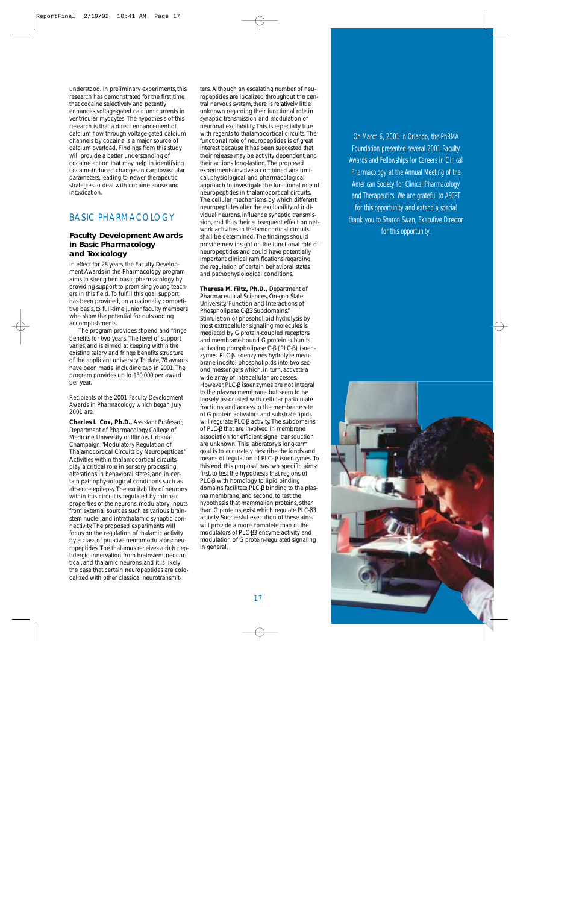understood. In preliminary experiments, this research has demonstrated for the first time that cocaine selectively and potently enhances voltage-gated calcium currents in ventricular myocytes. The hypothesis of this research is that a direct enhancement of calcium flow through voltage-gated calcium channels by cocaine is a major source of calcium overload. Findings from this study will provide a better understanding of cocaine action that may help in identifying cocaine-induced changes in cardiovascular parameters, leading to newer therapeutic strategies to deal with cocaine abuse and intoxication.

# BASIC PHARMACOLOGY

# **Faculty Development Awards in Basic Pharmacology and Toxicology**

In effect for 28 years, the Faculty Development Awards in the Pharmacology program aims to strengthen basic pharmacology by providing support to promising young teachers in this field. To fulfill this goal, support has been provided, on a nationally competitive basis, to full-time junior faculty members who show the potential for outstanding accomplishments.

The program provides stipend and fringe benefits for two years. The level of support varies, and is aimed at keeping within the existing salary and fringe benefits structure of the applicant university. To date, 78 awards have been made, including two in 2001. The program provides up to \$30,000 per award per year.

### *Recipients of the 2001 Faculty Development Awards in Pharmacology which began July 2001 are:*

**Charles L**. **Cox, Ph.D.,** Assistant Professor, Department of Pharmacology, College of Medicine, University of Illinois, Urbana-Champaign:"Modulatory Regulation of Thalamocortical Circuits by Neuropeptides." Activities within thalamocortical circuits play a critical role in sensory processing, alterations in behavioral states, and in certain pathophysiological conditions such as absence epilepsy. The excitability of neurons within this circuit is regulated by intrinsic properties of the neurons, modulatory inputs from external sources such as various brainstem nuclei, and intrathalamic synaptic connectivity. The proposed experiments will focus on the regulation of thalamic activity by a class of putative neuromodulators: neuropeptides. The thalamus receives a rich peptidergic innervation from brainstem, neocortical, and thalamic neurons, and it is likely the case that certain neuropeptides are colocalized with other classical neurotransmitters. Although an escalating number of neuropeptides are localized throughout the central nervous system, there is relatively little unknown regarding their functional role in synaptic transmission and modulation of neuronal excitability. This is especially true with regards to thalamocortical circuits. The functional role of neuropeptides is of great interest because it has been suggested that their release may be activity dependent, and their actions long-lasting. The proposed experiments involve a combined anatomical, physiological, and pharmacological approach to investigate the functional role of neuropeptides in thalamocortical circuits. The cellular mechanisms by which different neuropeptides alter the excitability of individual neurons, influence synaptic transmission, and thus their subsequent effect on network activities in thalamocortical circuits shall be determined. The findings should provide new insight on the functional role of neuropeptides and could have potentially important clinical ramifications regarding the regulation of certain behavioral states and pathophysiological conditions.

**Theresa M**. **Filtz, Ph.D.,** Department of Pharmaceutical Sciences, Oregon State University,"Function and Interactions of Phospholipase C-β3 Subdomains." Stimulation of phospholipid hydrolysis by most extracellular signaling molecules is mediated by G protein-coupled receptors and membrane-bound G protein subunits activating phospholipase C-β (PLC-β) isoenzymes. PLC-β isoenzymes hydrolyze membrane inositol phospholipids into two second messengers which, in turn, activate a wide array of intracellular processes. However, PLC-β isoenzymes are not integral to the plasma membrane, but seem to be loosely associated with cellular particulate fractions, and access to the membrane site of G protein activators and substrate lipids will regulate PLC-β activity. The subdomains of PLC-β that are involved in membrane association for efficient signal transduction are unknown. This laboratory's long-term goal is to accurately describe the kinds and means of regulation of PLC- β isoenzymes. To this end, this proposal has two specific aims: first, to test the hypothesis that regions of PLC-β with homology to lipid binding domains facilitate PLC-β binding to the plasma membrane; and second, to test the hypothesis that mammalian proteins, other than G proteins, exist which regulate PLC-β3 activity. Successful execution of these aims will provide a more complete map of the modulators of PLC-β3 enzyme activity and modulation of G protein-regulated signaling in general.

On March 6, 2001 in Orlando, the PhRMA Foundation presented several 2001 Faculty Awards and Fellowships for Careers in Clinical Pharmacology at the Annual Meeting of the American Society for Clinical Pharmacology and Therapeutics. We are grateful to ASCPT for this opportunity and extend a special thank you to Sharon Swan, Executive Director for this opportunity.

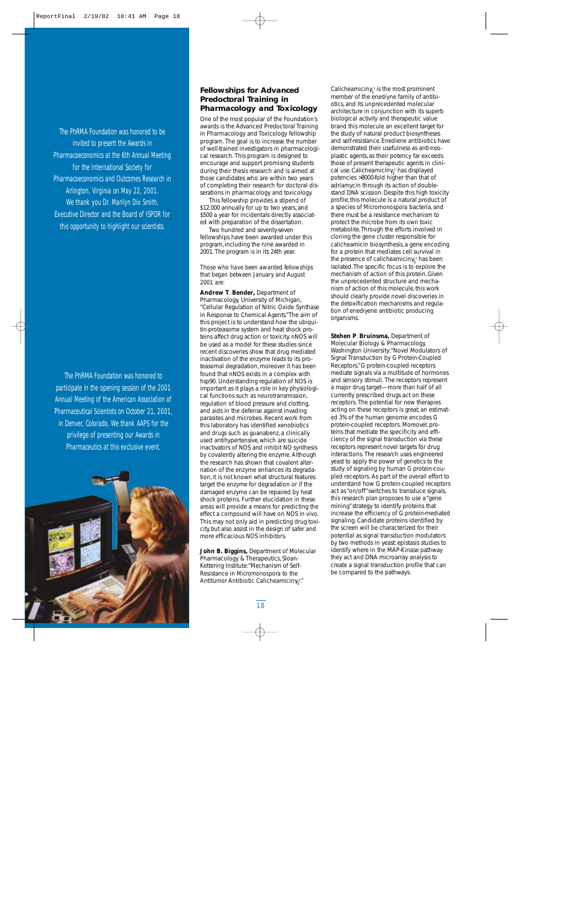The PhRMA Foundation was honored to be invited to present the Awards in Pharmacoeconomics at the 6th Annual Meeting for the International Society for Pharmacoeconomics and Outcomes Research in Arlington, Virginia on May 22, 2001. We thank you Dr. Marilyn Dix Smith, Executive Director and the Board of ISPOR for this opportunity to highlight our scientists.

The PhRMA Foundation was honored to participate in the opening session of the 2001 Annual Meeting of the American Association of Pharmaceutical Scientists on October 21, 2001, in Denver, Colorado. We thank AAPS for the privilege of presenting our Awards in Pharmaceutics at this exclusive event.



# **Fellowships for Advanced Predoctoral Training in Pharmacology and Toxicology**

One of the most popular of the Foundation's awards is the Advanced Predoctoral Training in Pharmacology and Toxicology fellowship program. The goal is to increase the number of well-trained investigators in pharmacological research. This program is designed to encourage and support promising students during their thesis research and is aimed at those candidates who are within two years of completing their research for doctoral disserations in pharmacology and toxicology.

This fellowship provides a stipend of \$12,000 annually for up to two years, and \$500 a year for incidentals directly associated with preparation of the dissertation.

Two hundred and seventy-seven fellowships have been awarded under this program, including the nine awarded in 2001. The program is in its 24th year.

### *Those who have been awarded fellowships that began between January and August 2001 are:*

**Andrew T**. **Bender,** Department of Pharmacology, University of Michigan, "Cellular Regulation of Nitric Oxide Synthase in Response to Chemical Agents."The aim of this project is to understand how the ubiquitin-proteasome system and heat shock proteins affect drug action or toxicity. nNOS will be used as a model for these studies since recent discoveries show that drug mediated inactivation of the enzyme leads to its proteasomal degradation, moreover it has been found that nNOS exists in a complex with hsp90. Understanding regulation of NOS is important as it plays a role in key physiological functions such as neurotransmission, regulation of blood pressure and clotting, and aids in the defense against invading parasites and microbes. Recent work from this laboratory has identified xenobiotics and drugs such as guanabenz, a clinically used antihypertensive, which are suicide inactivators of NOS and inhibit NO synthesis by covalently altering the enzyme. Although the research has shown that covalent alternation of the enzyme enhances its degradation, it is not known what structural features target the enzyme for degradation or if the damaged enzyme can be repaired by heat shock proteins. Further elucidation in these areas will provide a means for predicting the effect a compound will have on NOS *in vivo*. This may not only aid in predicting drug toxicity, but also assist in the design of safer and more efficacious NOS inhibitors.

**John B. Biggins,** Department of Molecular Pharmacology & Therapeutics, Sloan-Kettering Institute:"Mechanism of Self-Resistance in *Micromonospora* to the Antitumor Antibiotic Calicheamicinγ<sub>1</sub>!"

Calicheamic $\text{im}\gamma_1^{\text{I}}$  is the most prominent member of the enediyne family of antibiotics, and its unprecedented molecular architecture in conjunction with its superb biological activity and therapeutic value brand this molecule an excellent target for the study of natural product biosyntheses and self-resistance. Enediene antibiotics have demonstrated their usefulness as anti-neoplastic agents, as their potency far exceeds those of present therapeutic agents in clinical use. Calicheamicinγ<sup>1</sup> I has displayed potencies >8000-fold higher than that of adriamycin through its action of doublestand DNA scission. Despite this high toxicity profile, this molecule is a natural product of a species of *Micromonospora* bacteria, and there must be a resistance mechanism to protect the microbe from its own toxic metabolite.Through the efforts involved in cloning the gene cluster responsible for calicheamicin biosynthesis, a gene encoding for a protein that mediates cell survival in the presence of calicheamicinγ<sub>1</sub><sup>I</sup> has been isolated.The specific focus is to explore the mechanism of action of this protein. Given the unprecedented structure and mechanism of action of this molecule, this work should clearly provide novel discoveries in the detoxification mechanisms and regulation of enediyene antibiotic producing organisms.

**Stehen P**. **Bruinsma,** Department of Molecular Biology & Pharmacology, Washington University:"Novel Modulators of Signal Transduction by G Protein-Coupled Receptors."G protein-coupled receptors mediate signals via a multitude of hormones and sensory stimuli. The receptors represent a major drug target—more than half of all currently prescribed drugs act on these receptors. The potential for new therapies acting on these receptors is great; an estimated 3% of the human genome encodes G protein-coupled receptors. Moreover, proteins that mediate the specificity and efficiency of the signal transduction via these receptors represent novel targets for drug interactions. The research uses engineered yeast to apply the power of genetics to the study of signaling by human G protein-coupled receptors. As part of the overall effort to understand how G protein-coupled receptors act as "on/off"switches to transduce signals, this research plan proposes to use a "gene mining"strategy to identify proteins that increase the efficiency of G protein-mediated signaling. Candidate proteins identified by the screen will be characterized for their potential as signal transduction modulators by two methods in yeast: epistasis studies to identify where in the MAP-Kinase pathway they act and DNA microarray analysis to create a signal transduction profile that can be compared to the pathways.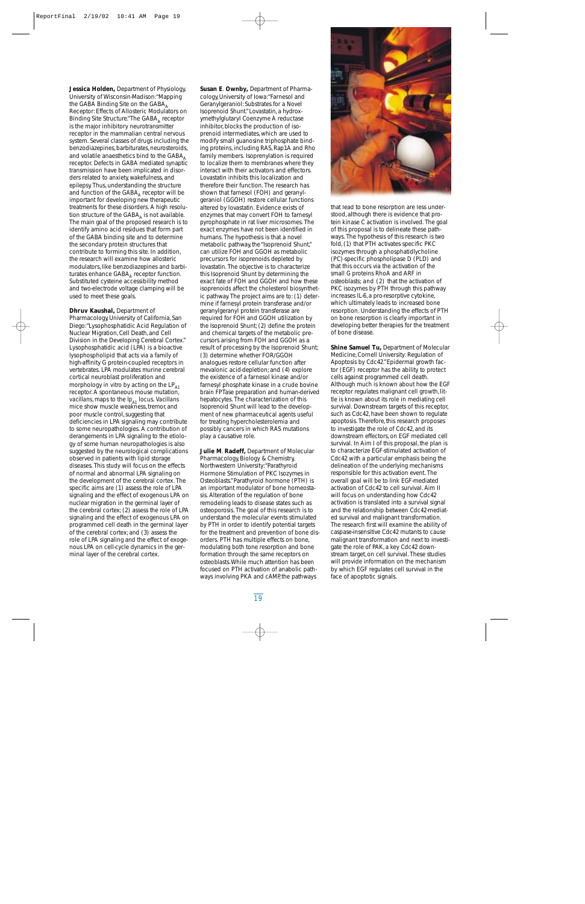**Jessica Holden,** Department of Physiology, University of Wisconsin-Madison:"Mapping the GABA Binding Site on the GABA $_A$ Receptor: Effects of Allosteric Modulators on Binding Site Structure."The GABA, receptor is the major inhibitory neurotransmitter receptor in the mammalian central nervous system. Several classes of drugs including the benzodiazepines, barbiturates, neurosteroids, and volatile anaesthetics bind to the  $GABA_A$ receptor. Defects in GABA mediated synaptic transmission have been implicated in disorders related to anxiety, wakefulness, and epilepsy. Thus, understanding the structure and function of the  $GABA_\Delta$  receptor will be important for developing new therapeutic treatments for these disorders. A high resolution structure of the  $GABA_A$  is not available. The main goal of the proposed research is to identify amino acid residues that form part of the GABA binding site and to determine the secondary protein structures that contribute to forming this site. In addition, the research will examine how allosteric modulators, like benzodiazepines and barbiturates enhance  $GABA_A$  receptor function. Substituted cysteine accessibility method and two-electrode voltage clamping will be used to meet these goals.

**Dhruv Kaushal,** Department of Pharmacology, University of California, San Diego:"Lysophosphatidic Acid Regulation of Nuclear Migration, Cell Death, and Cell Division in the Developing Cerebral Cortex." Lysophosphatidic acid (LPA) is a bioactive lysophospholipid that acts via a family of high-affinity G protein-coupled receptors in vertebrates. LPA modulates murine cerebral cortical neuroblast proliferation and morphology *in vitro* by acting on the LP<sub>A1</sub> receptor. A spontaneous mouse mutation, *vacillans*, maps to the  $lp_{AI}$  locus. *Vacillans* mice show muscle weakness, tremor, and poor muscle control, suggesting that deficiencies in LPA signaling may contribute to some neuropathologies. A contribution of derangements in LPA signaling to the etiology of some human neuropathologies is also suggested by the neurological complications observed in patients with lipid storage diseases. This study will focus on the effects of normal and abnormal LPA signaling on the development of the cerebral cortex. The specific aims are (1) assess the role of LPA signaling and the effect of exogenous LPA on nuclear migration in the germinal layer of the cerebral cortex; (2) assess the role of LPA signaling and the effect of exogenous LPA on programmed cell death in the germinal layer of the cerebral cortex; and (3) assess the role of LPA signaling and the effect of exogenous LPA on cell-cycle dynamics in the germinal layer of the cerebral cortex.

**Susan E**. **Ownby,** Department of Pharmacology, University of Iowa:"Farnesol and Geranylgeraniol: Substrates for a Novel Isoprenoid Shunt."Lovastatin, a hydroxymethylglutaryl Coenzyme A reductase inhibitor, blocks the production of isoprenoid intermediates, which are used to modify small guanosine triphosphate binding proteins, including RAS, Rap1A and Rho family members. Isoprenylation is required to localize them to membranes where they interact with their activators and effectors. Lovastatin inhibits this localization and therefore their function. The research has shown that farnesol (FOH) and geranylgeraniol (GGOH) restore cellular functions altered by lovastatin. Evidence exists of enzymes that may convert FOH to farnesyl pyrophosphate in rat liver microsomes. The exact enzymes have not been identified in humans. The hypothesis is that a novel metabolic pathway, the "Isoprenoid Shunt," can utilize FOH and GGOH as metabolic precursors for isoprenoids depleted by lovastatin. The objective is to characterize this Isoprenoid Shunt by determining the exact fate of FOH and GGOH and how these isoprenoids affect the cholesterol biosynthetic pathway. The project aims are to: (1) determine if farnesyl protein transferase and/or geranylgeranyl protein transferase are required for FOH and GGOH utilization by the Isoprenoid Shunt; (2) define the protein and chemical targets of the metabolic precursors arising from FOH and GGOH as a result of processing by the Isoprenoid Shunt; (3) determine whether FOR/GGOH analogues restore cellular function after mevalonic acid-depletion; and (4) explore the existence of a farnesol kinase and/or farnesyl phosphate kinase in a crude bovine brain FPTase preparation and human-derived hepatocytes. The characterization of this Isoprenoid Shunt will lead to the development of new pharmaceutical agents useful for treating hypercholesterolemia and possibly cancers in which RAS mutations play a causative role.

**Julie M**. **Radeff,** Department of Molecular Pharmacology, Biology & Chemistry, Northwestern University:"Parathyroid Hormone Stimulation of PKC Isozymes in Osteoblasts."Parathyroid hormone (PTH) is an important modulator of bone homeostasis. Alteration of the regulation of bone remodeling leads to disease states such as osteoporosis. The goal of this research is to understand the molecular events stimulated by PTH in order to identify potential targets for the treatment and prevention of bone disorders. PTH has multiple effects on bone, modulating both tone resorption and bone formation through the same receptors on osteoblasts.While much attention has been focused on PTH activation of anabolic pathways involving PKA and cAMP, the pathways



that lead to bone resorption are less understood, although there is evidence that protein kinase C activation is involved. The goal of this proposal is to delineate these pathways. The hypothesis of this research is two fold, (1) that PTH activates specific PKC isozymes through a phosphatidlycholine (PC)-specific phospholipase D (PLD) and that this occurs via the activation of the small G proteins RhoA and ARF in osteoblasts; and (2) that the activation of PKC isozymes by PTH through this pathway increases IL-6, a pro-resorptive cytokine, which ultimately leads to increased bone resorption. Understanding the effects of PTH on bone resorption is clearly important in developing better therapies for the treatment of bone disease.

**Shine Samuel Tu,** Department of Molecular Medicine, Cornell University: Regulation of Apoptosis by Cdc42."Epidermal growth factor (EGF) receptor has the ability to protect cells against programmed cell death. Although much is known about how the EGF receptor regulates malignant cell growth, little is known about its role in mediating cell survival. Downstream targets of this receptor, such as Cdc42, have been shown to regulate apoptosis. Therefore, this research proposes to investigate the role of Cdc42, and its downstream effectors, on EGF mediated cell survival. In Aim I of this proposal, the plan is to characterize EGF-stimulated activation of Cdc42 with a particular emphasis being the delineation of the underlying mechanisms responsible for this activation event. The overall goal will be to link EGF-mediated activation of Cdc42 to cell survival. Aim II will focus on understanding how Cdc42 activation is translated into a survival signal and the relationship between Cdc42-mediated survival and malignant transformation. The research first will examine the ability of caspase-insensitive Cdc42 mutants to cause malignant transformation and next to investigate the role of PAK, a key Cdc42 downstream target, on cell survival. These studies will provide information on the mechanism by which EGF regulates cell survival in the face of apoptotic signals.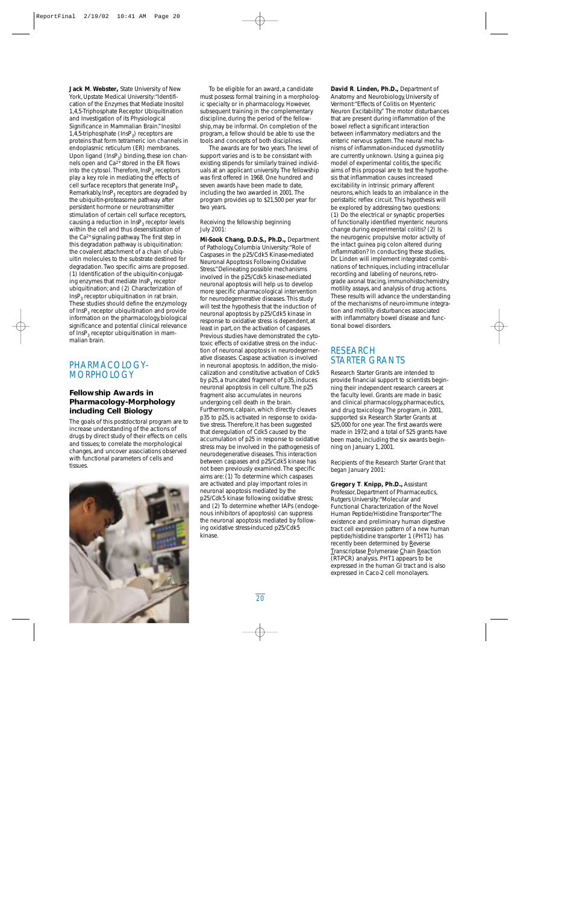**Jack M**. **Webster,** State University of New York, Upstate Medical University:"Identification of the Enzymes that Mediate Inositol 1,4,5-Triphosphate Receptor Ubiquitination and Investigation of its Physiological Significance in Mammalian Brain."Inositol 1,4,5-triphosphate  $(InsP<sub>3</sub>)$  receptors are proteins that form tetrameric ion channels in endoplasmic reticulum (ER) membranes. Upon ligand  $(InsP_3)$  binding, these ion channels open and Ca2+ stored in the ER flows into the cytosol. Therefore,  $InsP<sub>3</sub>$  receptors play a key role in mediating the effects of cell surface receptors that generate InsP<sub>2</sub>. Remarkably,  $InsP<sub>3</sub>$  receptors are degraded by the ubiquitin-proteasome pathway after persistent hormone or neurotransmitter stimulation of certain cell surface receptors, causing a reduction in InsP<sub>3</sub> receptor levels within the cell and thus desensitization of the Ca2+ signaling pathway. The first step in this degradation pathway is ubiquitination: the covalent attachment of a chain of ubiquitin molecules to the substrate destined for degradation. Two specific aims are proposed. (1) Identification of the ubiquitin-conjugating enzymes that mediate InsP<sub>2</sub> receptor ubiquitination; and (2) Characterization of  $InsP_3$  receptor ubiquitination in rat brain. These studies should define the enzymology of InsP<sub>2</sub> receptor ubiquitination and provide information on the pharmacology, biological significance and potential clinical relevance of  $InsP<sub>3</sub>$  receptor ubiquitination in mammalian brain.

# PHARMACOLOGY-**MORPHOLOGY**

# **Fellowship Awards in Pharmacology-Morphology including Cell Biology**

The goals of this postdoctoral program are to increase understanding of the actions of drugs by direct study of their effects on cells and tissues; to correlate the morphological changes, and uncover associations observed with functional parameters of cells and tissues.



To be eligible for an award, a candidate must possess formal training in a morphologic specialty or in pharmacology. However, subsequent training in the complementary discipline, during the period of the fellowship, may be informal. On completion of the program, a fellow should be able to use the tools and concepts of both disciplines.

The awards are for two years. The level of support varies and is to be consistant with existing stipends for similarly trained individuals at an applicant university. The fellowship was first offered in 1968. One hundred and seven awards have been made to date, including the two awarded in 2001. The program provides up to \$21,500 per year for two years.

### *Receiving the fellowship beginning July 2001:*

**Mi-Sook Chang, D.D.S., Ph.D.,** Department of Pathology, Columbia University:"Role of Caspases in the p25/Cdk5 Kinase-mediated Neuronal Apoptosis Following Oxidative Stress."Delineating possible mechanisms involved in the p25/Cdk5 kinase-mediated neuronal apoptosis will help us to develop more specific pharmacological intervention for neurodegernerative diseases. This study will test the hypothesis that the induction of neuronal apoptosis by p25/Cdk5 kinase in response to oxidative stress is dependent, at least in part, on the activation of caspases. Previous studies have demonstrated the cytotoxic effects of oxidative stress on the induction of neuronal apoptosis in neurodegernerative diseases. Caspase activation is involved in neuronal apoptosis. In addition, the mislocalization and constitutive activation of Cdk5 by p25, a truncated fragment of p35, induces neuronal apoptosis in cell culture. The p25 fragment also accumulates in neurons undergoing cell death in the brain. Furthermore, calpain, which directly cleaves p35 to p25, is activated in response to oxidative stress. Therefore, it has been suggested that deregulation of Cdk5 caused by the accumulation of p25 in response to oxidative stress may be involved in the pathogenesis of neurodegenerative diseases. This interaction between caspases and p25/Cdk5 kinase has not been previously examined. The specific aims are: (1) To determine which caspases are activated and play important roles in neuronal apoptosis mediated by the p25/Cdk5 kinase following oxidative stress; and (2) To determine whether IAPs (endogenous inhibitors of apoptosis) can suppress the neuronal apoptosis mediated by following oxidative stress-induced p25/Cdk5 kinase.

**David R**. **Linden, Ph.D.,** Department of Anatomy and Neurobiology, University of Vermont:"Effects of Colitis on Myenteric Neuron Excitability." The motor disturbances that are present during inflammation of the bowel reflect a significant interaction between inflammatory mediators and the enteric nervous system. The neural mechanisms of inflammation-induced dysmotility are currently unknown. Using a guinea pig model of experimental colitis, the specific aims of this proposal are to test the hypothesis that inflammation causes increased excitability in intrinsic primary afferent neurons, which leads to an imbalance in the peristaltic reflex circuit. This hypothesis will be explored by addressing two questions: (1) Do the electrical or synaptic properties of functionally identified myenteric neurons change during experimental colitis? (2) Is the neurogenic propulsive motor activity of the intact guinea pig colon altered during inflammation? In conducting these studies, Dr. Linden will implement integrated combinations of techniques, including intracellular recording and labeling of neurons, retrograde axonal tracing, immunohistochemistry, motility assays, and analysis of drug actions. These results will advance the understanding of the mechanisms of neuro-immune integration and motility disturbances associated with inflammatory bowel disease and functional bowel disorders.

# RESEARCH STARTER GRANTS

Research Starter Grants are intended to provide financial support to scientists beginning their independent research careers at the faculty level. Grants are made in basic and clinical pharmacology, pharmaceutics, and drug toxicology. The program, in 2001, supported six Research Starter Grants at \$25,000 for one year. The first awards were made in 1972; and a total of 525 grants have been made, including the six awards beginning on January 1, 2001.

*Recipients of the Research Starter Grant that began January 2001:*

**Gregory T**. **Knipp, Ph.D.,** Assistant Professor, Department of Pharmaceutics, Rutgers University:"Molecular and Functional Characterization of the Novel Human Peptide/Histidine Transporter."The existence and preliminary human digestive tract cell expression pattern of a new human peptide/histidine transporter 1 (PHT1) has recently been determined by Reverse Transcriptase Polymerase Chain Reaction (RT-PCR) analysis. PHT1 appears to be expressed in the human GI tract and is also expressed in Caco-2 cell monolayers.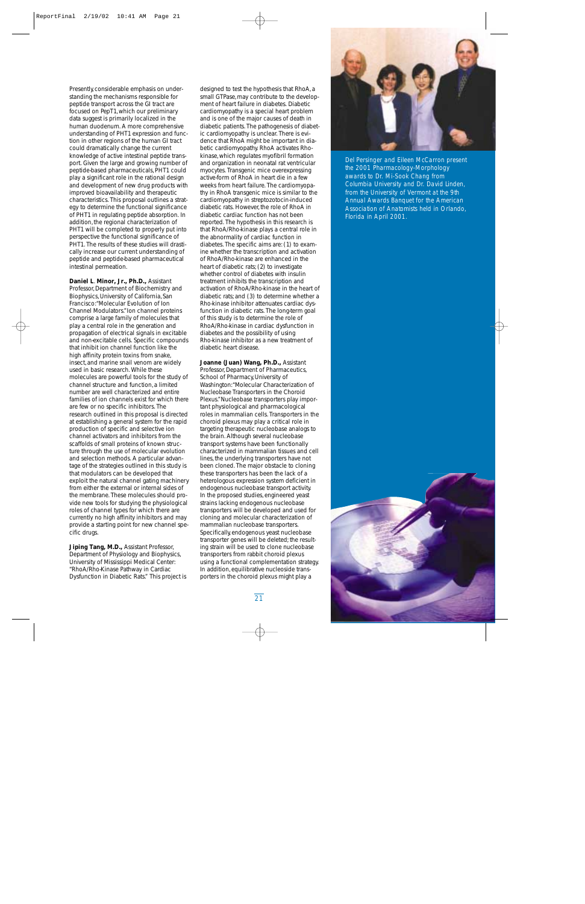Presently, considerable emphasis on understanding the mechanisms responsible for peptide transport across the GI tract are focused on PepT1, which our preliminary data suggest is primarily localized in the human duodenum. A more comprehensive understanding of PHT1 expression and function in other regions of the human GI tract could dramatically change the current knowledge of active intestinal peptide transport. Given the large and growing number of peptide-based pharmaceuticals, PHT1 could play a significant role in the rational design and development of new drug products with improved bioavailability and therapeutic characteristics. This proposal outlines a strategy to determine the functional significance of PHT1 in regulating peptide absorption. In addition, the regional characterization of PHT1 will be completed to properly put into perspective the functional significance of PHT1. The results of these studies will drastically increase our current understanding of peptide and peptide-based pharmaceutical intestinal permeation.

**Daniel L**. **Minor, Jr., Ph.D.,** Assistant Professor, Department of Biochemistry and Biophysics, University of California, San Francisco:"Molecular Evolution of Ion Channel Modulators."Ion channel proteins comprise a large family of molecules that play a central role in the generation and propagation of electrical signals in excitable and non-excitable cells. Specific compounds that inhibit ion channel function like the high affinity protein toxins from snake, insect, and marine snail venom are widely used in basic research. While these molecules are powerful tools for the study of channel structure and function, a limited number are well characterized and entire families of ion channels exist for which there are few or no specific inhibitors. The research outlined in this proposal is directed at establishing a general system for the rapid production of specific and selective ion channel activators and inhibitors from the scaffolds of small proteins of known structure through the use of molecular evolution and selection methods. A particular advantage of the strategies outlined in this study is that modulators can be developed that exploit the natural channel gating machinery from either the external or internal sides of the membrane. These molecules should provide new tools for studying the physiological roles of channel types for which there are currently no high affinity inhibitors and may provide a starting point for new channel specific drugs.

**Jiping Tang, M.D.,** Assistant Professor, Department of Physiology and Biophysics, University of Mississippi Medical Center: "RhoA/Rho-Kinase Pathway in Cardiac Dysfunction in Diabetic Rats." This project is

designed to test the hypothesis that RhoA, a small GTPase, may contribute to the development of heart failure in diabetes. Diabetic cardiomyopathy is a special heart problem and is one of the major causes of death in diabetic patients. The pathogenesis of diabetic cardiomyopathy is unclear. There is evidence that RhoA might be important in diabetic cardiomyopathy. RhoA activates Rhokinase, which regulates myofibril formation and organization in neonatal rat ventricular myocytes. Transgenic mice overexpressing active-form of RhoA in heart die in a few weeks from heart failure. The cardiomyopathy in RhoA transgenic mice is similar to the cardiomyopathy in streptozotocin-induced diabetic rats. However, the role of RhoA in diabetic cardiac function has not been reported. The hypothesis in this research is that RhoA/Rho-kinase plays a central role in the abnormality of cardiac function in diabetes. The specific aims are: (1) to examine whether the transcription and activation of RhoA/Rho-kinase are enhanced in the heart of diabetic rats; (2) to investigate whether control of diabetes with insulin treatment inhibits the transcription and activation of RhoA/Rho-kinase in the heart of diabetic rats; and (3) to determine whether a Rho-kinase inhibitor attenuates cardiac dysfunction in diabetic rats. The long-term goal of this study is to determine the role of RhoA/Rho-kinase in cardiac dysfunction in diabetes and the possibility of using Rho-kinase inhibitor as a new treatment of diabetic heart disease.

### **Joanne (Juan) Wang, Ph.D.,** Assistant

Professor, Department of Pharmaceutics, School of Pharmacy, University of Washington:"Molecular Characterization of Nucleobase Transporters in the Choroid Plexus."Nucleobase transporters play important physiological and pharmacological roles in mammalian cells. Transporters in the choroid plexus may play a critical role in targeting therapeutic nucleobase analogs to the brain. Although several nucleobase transport systems have been functionally characterized in mammalian tissues and cell lines, the underlying transporters have not been cloned. The major obstacle to cloning these transporters has been the lack of a heterologous expression system deficient in endogenous nucleobase transport activity. In the proposed studies, engineered yeast strains lacking endogenous nucleobase transporters will be developed and used for cloning and molecular characterization of mammalian nucleobase transporters. Specifically, endogenous yeast nucleobase transporter genes will be deleted; the resulting strain will be used to clone nucleobase transporters from rabbit choroid plexus using a functional complementation strategy. In addition, equilibrative nucleoside transporters in the choroid plexus might play a



*Del Persinger and Eileen McCarron present the 2001 Pharmacology-Morphology awards to Dr. Mi-Sook Chang from Columbia University and Dr. David Linden, from the University of Vermont at the 9th Annual Awards Banquet for the American Association of Anatomists held in Orlando, Florida in April 2001.*

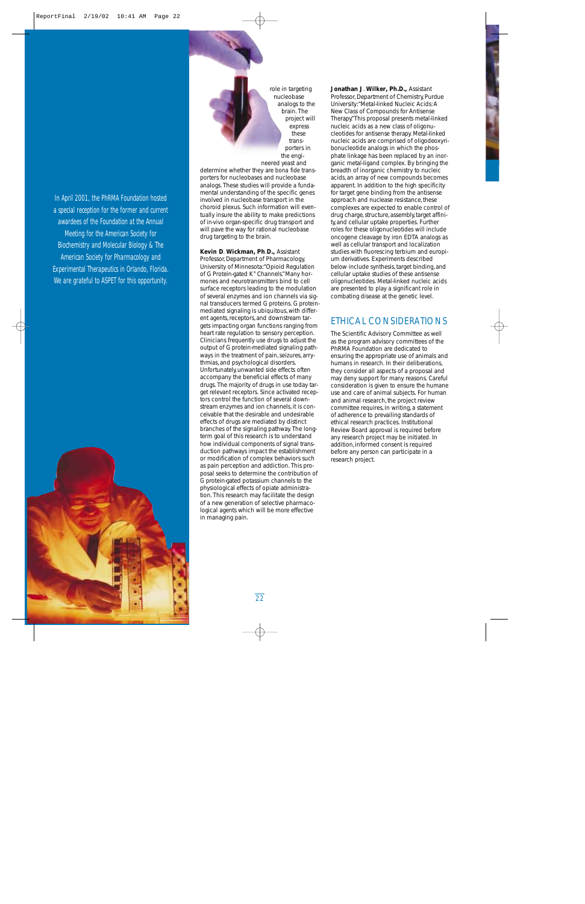In April 2001, the PhRMA Foundation hosted a special reception for the former and current awardees of the Foundation at the Annual Meeting for the American Society for Biochemistry and Molecular Biology & The American Society for Pharmacology and Experimental Therapeutics in Orlando, Florida. We are grateful to ASPET for this opportunity.



role in targeting nucleobase analogs to the brain. The project will express these transporters in the engi-

neered yeast and determine whether they are *bona fide* transporters for nucleobases and nucleobase analogs. These studies will provide a fundamental understanding of the specific genes involved in nucleobase transport in the choroid plexus. Such information will eventually insure the ability to make predictions of *in-vivo* organ-specific drug transport and will pave the way for rational nucleobase drug targeting to the brain.

**Kevin D**. **Wickman, Ph**.**D.,** Assistant Professor, Department of Pharmacology, University of Minnesota:"Opioid Regulation of G Protein-gated K+ Channels."Many hormones and neurotransmitters bind to cell surface receptors leading to the modulation of several enzymes and ion channels via signal transducers termed G proteins. G proteinmediated signaling is ubiquitous, with different agents, receptors, and downstream targets impacting organ functions ranging from heart rate regulation to sensory perception. Clinicians frequently use drugs to adjust the output of G protein-mediated signaling pathways in the treatment of pain, seizures, arrythmias, and psychological disorders. Unfortunately, unwanted side effects often accompany the beneficial effects of many drugs. The majority of drugs in use today target relevant receptors. Since activated receptors control the function of several downstream enzymes and ion channels, it is conceivable that the desirable and undesirable effects of drugs are mediated by distinct branches of the signaling pathway. The longterm goal of this research is to understand how individual components of signal transduction pathways impact the establishment or modification of complex behaviors such as pain perception and addiction. This proposal seeks to determine the contribution of G protein-gated potassium channels to the physiological effects of opiate administration. This research may facilitate the design of a new generation of selective pharmacological agents which will be more effective in managing pain.

### **Jonathan J**. **Wilker, Ph.D.,** Assistant Professor, Department of Chemistry, Purdue University:"Metal-linked Nucleic Acids: A New Class of Compounds for Antisense Therapy."This proposal presents metal-linked nucleic acids as a new class of oligonucleotides for antisense therapy. Metal-linked nucleic acids are comprised of oligodeoxyribonucleotide analogs in which the phosphate linkage has been replaced by an inorganic metal-ligand complex. By bringing the breadth of inorganic chemistry to nucleic acids, an array of new compounds becomes apparent. In addition to the high specificity for target gene binding from the antisense approach and nuclease resistance, these complexes are expected to enable control of drug charge, structure, assembly, target affinity, and cellular uptake properties. Further roles for these oligonucleotides will include oncogene cleavage by iron EDTA analogs as well as cellular transport and localization studies with fluorescing terbium and europium derivatives. Experiments described below include synthesis, target binding, and cellular uptake studies of these antisense oligonucleotides. Metal-linked nucleic acids are presented to play a significant role in combating disease at the genetic level.

# ETHICAL CONSIDERATIONS

The Scientific Advisory Committee as well as the program advisory committees of the PhRMA Foundation are dedicated to ensuring the appropriate use of animals and humans in research. In their deliberations, they consider all aspects of a proposal and may deny support for many reasons. Careful consideration is given to ensure the humane use and care of animal subjects. For human and animal research, the project review committee requires, in writing, a statement of adherence to prevailing standards of ethical research practices. Institutional Review Board approval is required before any research project may be initiated. In addition, informed consent is required before any person can participate in a research project.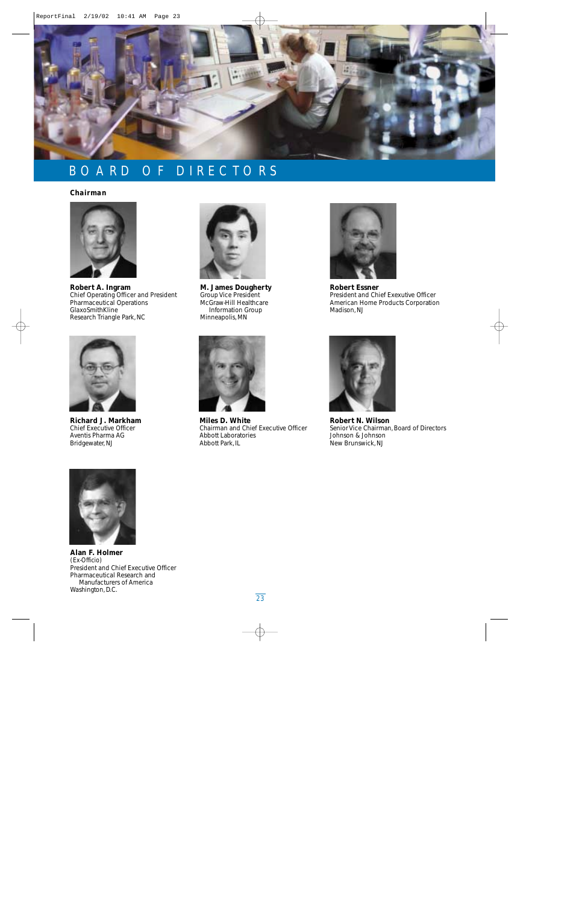

# BOARD OF DIRECTORS

# *Chairman*



**Robert A. Ingram** Chief Operating Officer and President Pharmaceutical Operations GlaxoSmithKline Research Triangle Park, NC



**Richard J. Markham** Chief Executive Officer Aventis Pharma AG Bridgewater, NJ



**M. James Dougherty** Group Vice President McGraw-Hill Healthcare Information Group Minneapolis, MN



**Miles D. White** Chairman and Chief Executive Officer Abbott Laboratories Abbott Park, IL



**Robert Essner** President and Chief Exexutive Officer American Home Products Corporation Madison, NJ



**Robert N. Wilson** Senior Vice Chairman, Board of Directors Johnson & Johnson New Brunswick, NJ



**Alan F. Holmer**  *(Ex-Officio)*  President and Chief Executive Officer Pharmaceutical Research and Manufacturers of America Washington, D.C.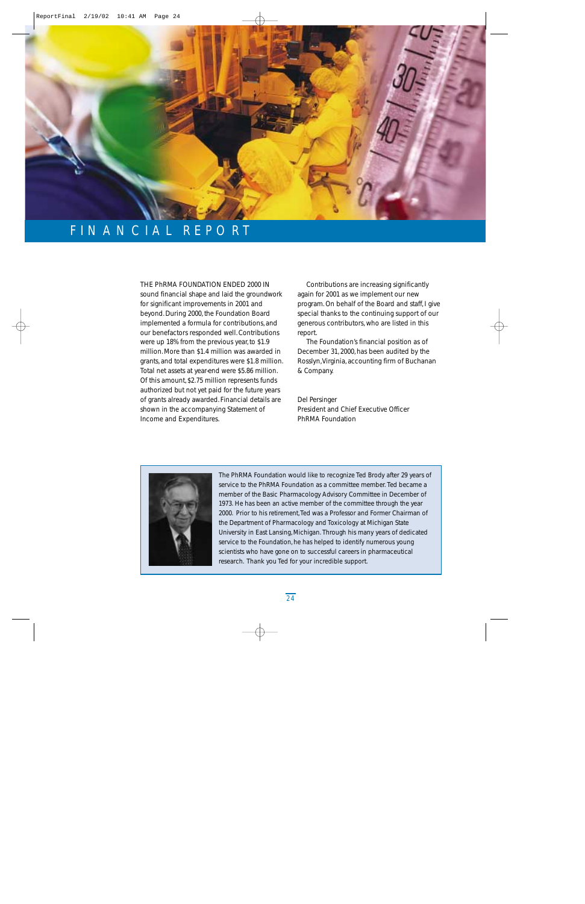

# FINANCIAL REPORT

THE PhRMA FOUNDATION ENDED 2000 IN sound financial shape and laid the groundwork for significant improvements in 2001 and beyond. During 2000, the Foundation Board implemented a formula for contributions, and our benefactors responded well. Contributions were up 18% from the previous year, to \$1.9 million. More than \$1.4 million was awarded in grants, and total expenditures were \$1.8 million. Total net assets at year-end were \$5.86 million. Of this amount, \$2.75 million represents funds authorized but not yet paid for the future years of grants already awarded. Financial details are shown in the accompanying Statement of Income and Expenditures.

Contributions are increasing significantly again for 2001 as we implement our new program. On behalf of the Board and staff, I give special thanks to the continuing support of our generous contributors, who are listed in this report.

The Foundation's financial position as of December 31, 2000, has been audited by the Rosslyn,Virginia, accounting firm of Buchanan & Company.

Del Persinger President and Chief Executive Officer PhRMA Foundation



The PhRMA Foundation would like to recognize Ted Brody after 29 years of service to the PhRMA Foundation as a committee member. Ted became a member of the Basic Pharmacology Advisory Committee in December of 1973. He has been an active member of the committee through the year 2000. Prior to his retirement,Ted was a Professor and Former Chairman of the Department of Pharmacology and Toxicology at Michigan State University in East Lansing, Michigan. Through his many years of dedicated service to the Foundation, he has helped to identify numerous young scientists who have gone on to successful careers in pharmaceutical research. Thank you Ted for your incredible support.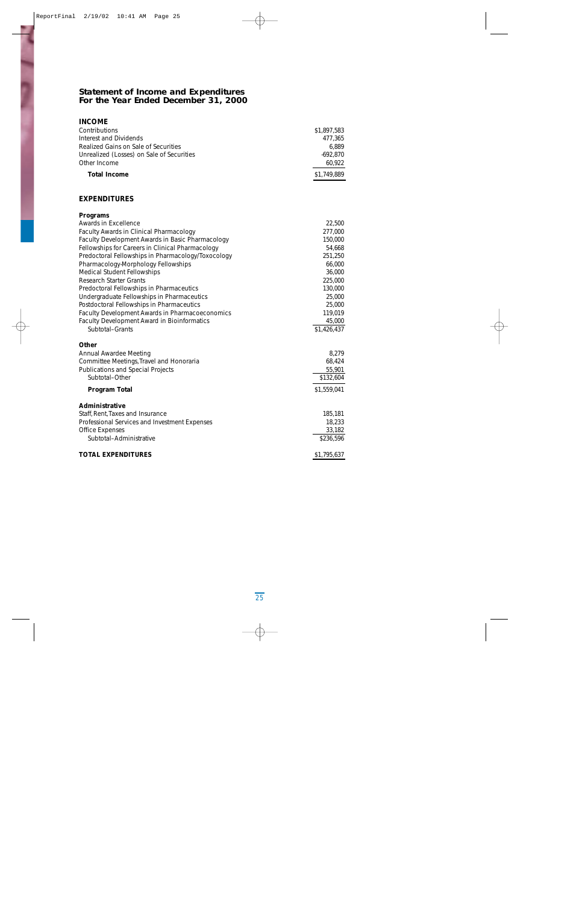# **Statement of Income and Expenditures For the Year Ended December 31, 2000**

| <b>INCOME</b>                                      |             |
|----------------------------------------------------|-------------|
| Contributions                                      | \$1,897,583 |
| Interest and Dividends                             | 477,365     |
| Realized Gains on Sale of Securities               | 6,889       |
| Unrealized (Losses) on Sale of Securities          | $-692,870$  |
| Other Income                                       | 60,922      |
| <b>Total Income</b>                                | \$1,749,889 |
|                                                    |             |
| <b>EXPENDITURES</b>                                |             |
| <b>Programs</b>                                    |             |
| Awards in Excellence                               | 22,500      |
| Faculty Awards in Clinical Pharmacology            | 277,000     |
| Faculty Development Awards in Basic Pharmacology   | 150,000     |
| Fellowships for Careers in Clinical Pharmacology   | 54,668      |
| Predoctoral Fellowships in Pharmacology/Toxocology | 251,250     |
| Pharmacology-Morphology Fellowships                | 66,000      |
| <b>Medical Student Fellowships</b>                 | 36,000      |
| <b>Research Starter Grants</b>                     | 225,000     |
| Predoctoral Fellowships in Pharmaceutics           | 130,000     |
| Undergraduate Fellowships in Pharmaceutics         | 25,000      |
| Postdoctoral Fellowships in Pharmaceutics          | 25,000      |
| Faculty Development Awards in Pharmacoeconomics    | 119,019     |
| <b>Faculty Development Award in Bioinformatics</b> | 45,000      |
| Subtotal-Grants                                    | \$1,426,437 |
| <b>Other</b>                                       |             |
| <b>Annual Awardee Meeting</b>                      | 8,279       |
| Committee Meetings, Travel and Honoraria           | 68,424      |
| <b>Publications and Special Projects</b>           | 55,901      |
| Subtotal-Other                                     | \$132,604   |
| <b>Program Total</b>                               | \$1,559,041 |
| Administrative                                     |             |
| Staff, Rent, Taxes and Insurance                   | 185,181     |
| Professional Services and Investment Expenses      | 18,233      |
| <b>Office Expenses</b>                             | 33,182      |
| Subtotal-Administrative                            | \$236,596   |
| <b>TOTAL EXPENDITURES</b>                          | \$1,795,637 |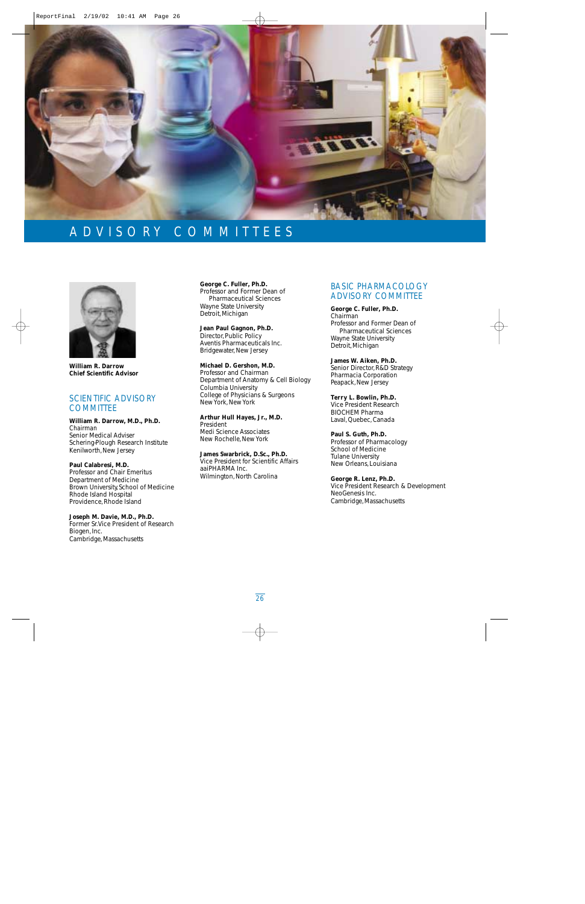

# ADVISORY COMMITTEES



**William R. Darrow Chief Scientific Advisor**

# SCIENTIFIC ADVISORY **COMMITTEE**

**William R. Darrow, M.D., Ph.D.** *Chairman* Senior Medical Adviser Schering-Plough Research Institute Kenilworth, New Jersey

**Paul Calabresi, M.D.** Professor and Chair Emeritus Department of Medicine Brown University, School of Medicine Rhode Island Hospital Providence, Rhode Island

### **Joseph M. Davie, M.D., Ph.D.**

Former Sr.Vice President of Research Biogen, Inc. Cambridge, Massachusetts

**George C. Fuller, Ph.D.**  Professor and Former Dean of Pharmaceutical Sciences Wayne State University Detroit, Michigan

**Jean Paul Gagnon, Ph.D.** Director, Public Policy Aventis Pharmaceuticals Inc. Bridgewater, New Jersey

**Michael D. Gershon, M.D.** Professor and Chairman Department of Anatomy & Cell Biology Columbia University College of Physicians & Surgeons New York, New York

**Arthur Hull Hayes, Jr., M.D.** President Medi Science Associates New Rochelle, New York

**James Swarbrick, D.Sc., Ph.D.** Vice President for Scientific Affairs aaiPHARMA Inc. Wilmington, North Carolina

# BASIC PHARMACOLOGY ADVISORY COMMITTEE

**George C. Fuller, Ph.D.** *Chairman* Professor and Former Dean of Pharmaceutical Sciences Wayne State University Detroit, Michigan

**James W. Aiken, Ph.D.**

Senior Director, R&D Strategy Pharmacia Corporation Peapack, New Jersey

**Terry L. Bowlin, Ph.D.** Vice President Research BIOCHEM Pharma

Laval, Quebec, Canada

**Paul S. Guth, Ph.D.** Professor of Pharmacology School of Medicine Tulane University New Orleans, Louisiana

**George R. Lenz, Ph.D.** Vice President Research & Development NeoGenesis Inc. Cambridge, Massachusetts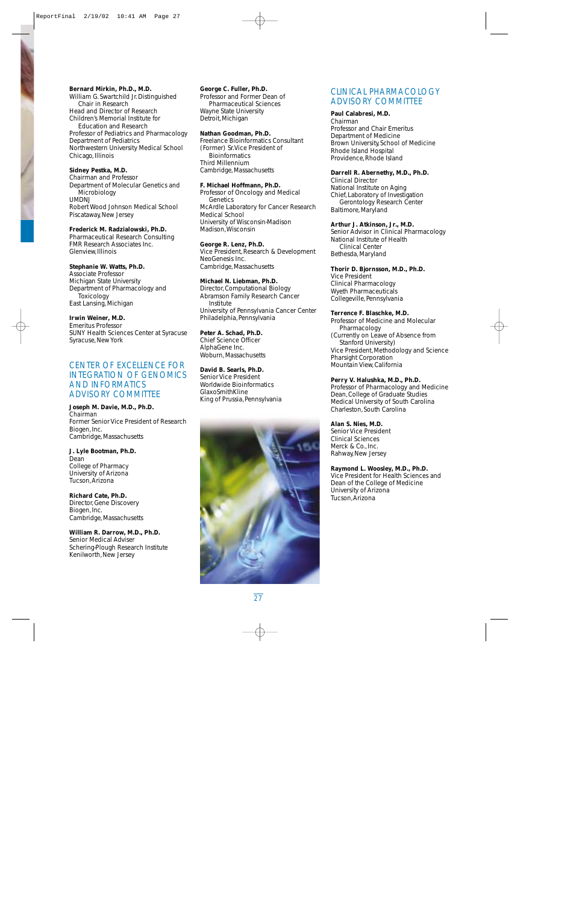## **Bernard Mirkin, Ph.D., M.D.**

William G. Swartchild Jr. Distinguished Chair in Research Head and Director of Research Children's Memorial Institute for Education and Research Professor of Pediatrics and Pharmacology Department of Pediatrics Northwestern University Medical School Chicago, Illinois

# **Sidney Pestka, M.D.**

Chairman and Professor Department of Molecular Genetics and **Microbiology** UMDNJ Robert Wood Johnson Medical School Piscataway, New Jersey

# **Frederick M. Radzialowski, Ph.D.**

Pharmaceutical Research Consulting FMR Research Associates Inc. Glenview, Illinois

# **Stephanie W. Watts, Ph.D.**

Associate Professor Michigan State University Department of Pharmacology and Toxicology East Lansing, Michigan

**Irwin Weiner, M.D.** Emeritus Professor SUNY Health Sciences Center at Syracuse Syracuse, New York

# CENTER OF EXCELLENCE FOR INTEGRATION OF GENOMICS AND INFORMATICS ADVISORY COMMITTEE

**Joseph M. Davie, M.D., Ph.D.** *Chairman* Former Senior Vice President of Research Biogen, Inc. Cambridge, Massachusetts

**J. Lyle Bootman, Ph.D.** Dean College of Pharmacy University of Arizona Tucson, Arizona

**Richard Cate, Ph.D.** Director, Gene Discovery Biogen, Inc. Cambridge, Massachusetts

**William R. Darrow, M.D., Ph.D.** Senior Medical Adviser Schering-Plough Research Institute Kenilworth, New Jersey

# **George C. Fuller, Ph.D.**

Professor and Former Dean of Pharmaceutical Sciences Wayne State University Detroit, Michigan

## **Nathan Goodman, Ph.D.**

Freelance Bioinformatics Consultant (Former) Sr.Vice President of **Bioinformatics** Third Millennium Cambridge, Massachusetts

### **F. Michael Hoffmann, Ph.D.**

Professor of Oncology and Medical Genetics McArdle Laboratory for Cancer Research Medical School University of Wisconsin-Madison Madison,Wisconsin

## **George R. Lenz, Ph.D.**

Vice President, Research & Development NeoGenesis Inc. Cambridge, Massachusetts

# **Michael N. Liebman, Ph.D.**

Director, Computational Biology Abramson Family Research Cancer Institute University of Pennsylvania Cancer Center Philadelphia, Pennsylvania

**Peter A. Schad, Ph.D.** Chief Science Officer AlphaGene Inc. Woburn, Massachusetts

## **David B. Searls, Ph.D.**

Senior Vice President Worldwide Bioinformatics GlaxoSmithKline King of Prussia, Pennsylvania



# CLINICAL PHARMACOLOGY ADVISORY COMMITTEE

### **Paul Calabresi, M.D.**

*Chairman* Professor and Chair Emeritus Department of Medicine Brown University, School of Medicine Rhode Island Hospital Providence, Rhode Island

## **Darrell R. Abernethy, M.D., Ph.D.**

Clinical Director National Institute on Aging Chief, Laboratory of Investigation Gerontology Research Center Baltimore, Maryland

## **Arthur J. Atkinson, Jr., M.D.**

Senior Advisor in Clinical Pharmacology National Institute of Health Clinical Center Bethesda, Maryland

# **Thorir D. Bjornsson, M.D., Ph.D.**

Vice President Clinical Pharmacology Wyeth Pharmaceuticals Collegeville, Pennsylvania

# **Terrence F. Blaschke, M.D.**

Professor of Medicine and Molecular Pharmacology (Currently on Leave of Absence from Stanford University) Vice President, Methodology and Science Pharsight Corporation Mountain View, California

# **Perry V. Halushka, M.D., Ph.D.**

Professor of Pharmacology and Medicine Dean, College of Graduate Studies Medical University of South Carolina Charleston, South Carolina

## **Alan S. Nies, M.D.**

Senior Vice President Clinical Sciences Merck & Co., Inc. Rahway, New Jersey

## **Raymond L. Woosley, M.D., Ph.D.**

Vice President for Health Sciences and Dean of the College of Medicine University of Arizona Tucson, Arizona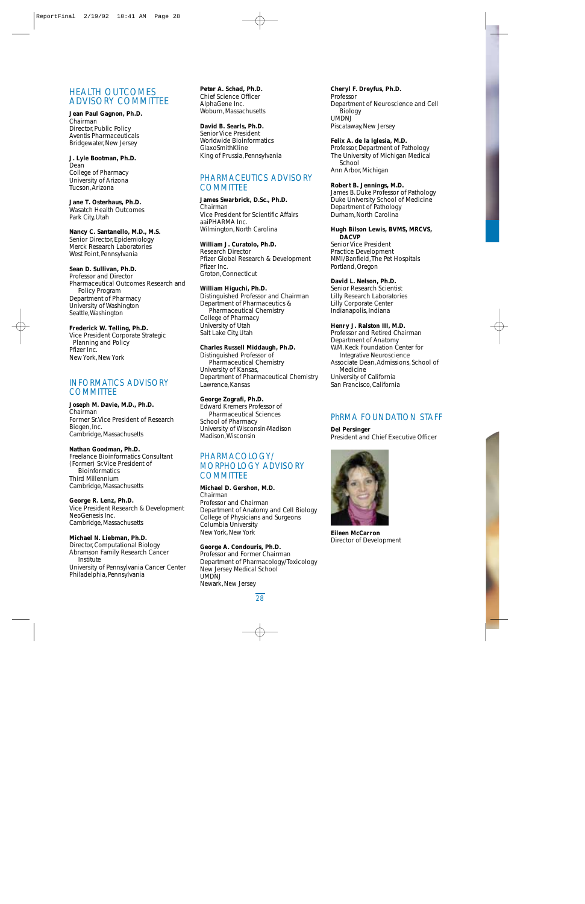# HEALTH OUTCOMES ADVISORY COMMITTEE

### **Jean Paul Gagnon, Ph.D.**

*Chairman* Director, Public Policy Aventis Pharmaceuticals Bridgewater, New Jersey

### **J. Lyle Bootman, Ph.D.** Dean College of Pharmacy University of Arizona

Tucson, Arizona

**Jane T. Osterhaus, Ph.D.** Wasatch Health Outcomes Park City, Utah

## **Nancy C. Santanello, M.D., M.S.**

Senior Director, Epidemiology Merck Research Laboratories West Point, Pennsylvania

# **Sean D. Sullivan, Ph.D.**

Professor and Director Pharmaceutical Outcomes Research and Policy Program Department of Pharmacy University of Washington Seattle,Washington

## **Frederick W. Telling, Ph.D.**

Vice President Corporate Strategic Planning and Policy Pfizer Inc. New York, New York

# INFORMATICS ADVISORY **COMMITTEE**

# **Joseph M. Davie, M.D., Ph.D.**

*Chairman* Former Sr.Vice President of Research Biogen, Inc. Cambridge, Massachusetts

# **Nathan Goodman, Ph.D.**

Freelance Bioinformatics Consultant (Former) Sr.Vice President of **Bioinformatics** Third Millennium Cambridge, Massachusetts

**George R. Lenz, Ph.D.** Vice President Research & Development NeoGenesis Inc. Cambridge, Massachusetts

# **Michael N. Liebman, Ph.D.**

Director, Computational Biology Abramson Family Research Cancer Institute University of Pennsylvania Cancer Center

Philadelphia, Pennsylvania

### **Peter A. Schad, Ph.D.** Chief Science Officer AlphaGene Inc. Woburn, Massachusetts

# **David B. Searls, Ph.D.**

Senior Vice President Worldwide Bioinformatics GlaxoSmithKline King of Prussia, Pennsylvania

# PHARMACEUTICS ADVISORY **COMMITTEE**

# **James Swarbrick, D.Sc., Ph.D.**

*Chairman* Vice President for Scientific Affairs aaiPHARMA Inc. Wilmington, North Carolina

# **William J. Curatolo, Ph.D.**

Research Director Pfizer Global Research & Development Pfizer Inc. Groton, Connecticut

## **William Higuchi, Ph.D.**

Distinguished Professor and Chairman Department of Pharmaceutics & Pharmaceutical Chemistry College of Pharmacy University of Utah Salt Lake City, Utah

# **Charles Russell Middaugh, Ph.D.**

Distinguished Professor of Pharmaceutical Chemistry University of Kansas, Department of Pharmaceutical Chemistry Lawrence, Kansas

# **George Zografi, Ph.D.**

Edward Kremers Professor of Pharmaceutical Sciences School of Pharmacy University of Wisconsin-Madison Madison,Wisconsin

# PHARMACOLOGY/ MORPHOLOGY ADVISORY **COMMITTEE**

# **Michael D. Gershon, M.D.**

*Chairman* Professor and Chairman Department of Anatomy and Cell Biology College of Physicians and Surgeons Columbia University New York, New York

# **George A. Condouris, Ph.D.**

Professor and Former Chairman Department of Pharmacology/Toxicology New Jersey Medical School UMDNJ Newark, New Jersey

**Cheryl F. Dreyfus, Ph.D.** Professor Department of Neuroscience and Cell **Biology** UMDNJ Piscataway, New Jersey

## **Felix A. de la Iglesia, M.D.**

Professor, Department of Pathology The University of Michigan Medical School Ann Arbor, Michigan

# **Robert B. Jennings, M.D.**

James B. Duke Professor of Pathology Duke University School of Medicine Department of Pathology Durham, North Carolina

### **Hugh Bilson Lewis, BVMS, MRCVS, DACVP**

Senior Vice President Practice Development MMI/Banfield,The Pet Hospitals Portland, Oregon

# **David L. Nelson, Ph.D.**

Senior Research Scientist Lilly Research Laboratories Lilly Corporate Center Indianapolis, Indiana

# **Henry J. Ralston III, M.D.**

Professor and Retired Chairman Department of Anatomy W.M. Keck Foundation Center for Integrative Neuroscience Associate Dean,Admissions, School of Medicine University of California San Francisco, California

# PhRMA FOUNDATION STAFF

**Del Persinger**





**Eileen McCarron** Director of Development